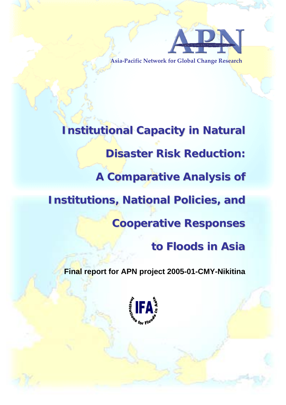

**Asia‐Pacific Network for Global Change Research**

**Institutional Capacity in Natural Disaster Risk Reduction: A Comparative Analysis of Institutions, National Policies, and Cooperative Responses to Floods in Asia**

**Final report for APN project 2005-01-CMY-Nikitina**

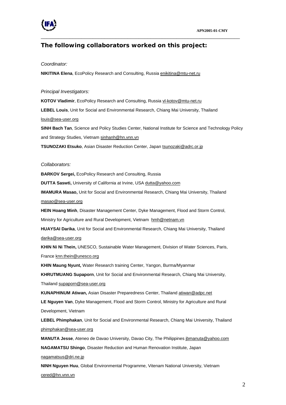

## **The following collaborators worked on this project:**

\_\_\_\_\_\_\_\_\_\_\_\_\_\_\_\_\_\_\_\_\_\_\_\_\_\_\_\_\_\_\_\_\_\_\_\_\_\_\_\_\_\_\_\_\_\_\_\_\_\_\_\_\_\_\_\_\_\_\_\_\_\_\_\_\_\_\_\_\_

#### *Coordinator:*

**NIKITINA Elena**, EcoPolicy Research and Consulting, Russia [enikitina@mtu-net.ru](mailto:enikitina@mtu-net.ru)

#### *Principal Investigators:*

KOTOV Vladimir, EcoPolicy Research and Consulting, Russia [vl-kotov@mtu-net.ru](mailto:vl-kotov@mtu-net.ru)

**LEBEL Louis**, Unit for Social and Environmental Research, Chiang Mai University, Thailand

#### [louis@sea-user.org](mailto:louis@sea-user.org)

**SINH Bach Tan**, Science and Policy Studies Center, National Institute for Science and Technology Policy and Strategy Studies, Vietnam [sinhanh@hn.vnn.vn](mailto:sinhanh@hn.vnn.vn)

**TSUNOZAKI Etsuko**, Asian Disaster Reduction Center, Japan [tsunozaki@adrc.or.jp](mailto:tsunozaki@adrc.or.jp)

#### *Collaborators:*

**BARKOV Sergei,** EcoPolicy Research and Consulting, Russia

**DUTTA Saswti,** University of California at Irvine, USA [dutta@yahoo.com](mailto:dutta@yahoo.com)

**IMAMURA Masao,** Unit for Social and Environmental Research, Chiang Mai University, Thailand

[masao@sea-user.org](mailto:masao@sea-user.org) 

**HEIN Hoang Minh**, Disaster Management Center, Dyke Management, Flood and Storm Control,

Ministry for Agriculture and Rural Development, Vietnam [hmh@netnam.vn](mailto:hmh@netnam.vn)

**HUAYSAI Darika**, Unit for Social and Environmental Research, Chiang Mai University, Thailand [darika@sea-user.org](mailto:darika@sea-user.org)

**KHIN Ni Ni Thein,** UNESCO, Sustainable Water Management, Division of Water Sciences, Paris, France [knn.thein@unesco.org](mailto:knn.thein@unesco.org) 

**KHIN Maung Nyunt,** Water Research training Center, Yangon, Burma/Myanmar

**KHRUTMUANG Supaporn**, Unit for Social and Environmental Research, Chiang Mai University,

Thailand [supaporn@sea-user.org](mailto:supaporn@sea-usewr.org)

**KUNAPHINUM Atiwan,** Asian Disaster Preparedness Center, Thailand [atiwan@adpc.net](mailto:atiwan@adpc.net)

**LE Nguyen Van**, Dyke Management, Flood and Storm Control, Ministry for Agriculture and Rural

Development, Vietnam

**LEBEL Phimphakan**, Unit for Social and Environmental Research, Chiang Mai University, Thailand [phimphakan@sea-user.org](mailto:phimphakan@sea-user.org)

**MANUTA Jesse**, Ateneo de Davao University, Davao City, The Philippines [jbmanuta@yahoo.com](mailto:jbmanuta@yahoo.com)

**NAGAMATSU Shingo**, Disaster Reduction and Human Renovation Institute, Japan

[nagamatsus@dri.ne.jp](mailto:nagamatsus@dri.ne.jp)

**NINH Nguyen Huu**, Global Environmental Programme, Vitenam National University, Vietnam [cered@hn.vnn.vn](mailto:cered@hn.vnn.vn)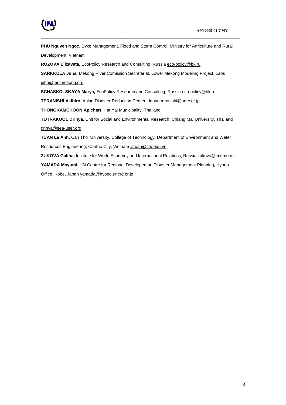

**PHU Nguyen Ngoc,** Dyke Management, Flood and Storm Control, Ministry for Agriculture and Rural Development, Vietnam

\_\_\_\_\_\_\_\_\_\_\_\_\_\_\_\_\_\_\_\_\_\_\_\_\_\_\_\_\_\_\_\_\_\_\_\_\_\_\_\_\_\_\_\_\_\_\_\_\_\_\_\_\_\_\_\_\_\_\_\_\_\_\_\_\_\_\_\_\_

**ROZOVA Elizaveta,** EcoPolicy Research and Consulting, Russia [eco-policy@bk.ru](mailto:eco-policy@bk.ru)

**SARKKULA Juha**, Mekong River Comission Secretariat, Lower Mekong Modeling Project, Laos [juha@mrcmekong.org](mailto:juha@mrcmekong.org) 

**SCHASKOLSKAYA Marya,** EcoPolicy Research and Consulting, Russia [eco-policy@bk.ru](mailto:eco-policy@bk.ru)

**TERANISHI Akihiro**, Asian Disaster Reduction Center, Japan [teranishi@adrc.or.jp](mailto:teranishi@adrc.or.jp)

**THONGKAMCHOON Apichart**, Hat Yai Municipality, Thailand

**TOTRAKOOL Drinya**, Unit for Social and Environmental Research, Chiang Mai University, Thailand [drinya@sea-user.org](mailto:drinya@sea-user.org)

**TUAN Le Anh,** Can Tho University, College of Technology, Department of Environment and Water Resources Engineering, Cantho City, Vietnam [latuan@ctu.edu.vn](mailto:latuan@ctu.edu.vn)

**ZUKOVA Galina,** Institute for World Economy and International Relations, Russia [zukova@imemo.ru](mailto:zukova@imemo.ru)

**YAMADA Mayumi,** UN Centre for Regional Developemnt, Disaster Management Planning, Hyogo

Office, Kobe, Japan [yamada@hyogo.uncrd.or.jp](mailto:yamada@hyogo.uncrd.or.jp)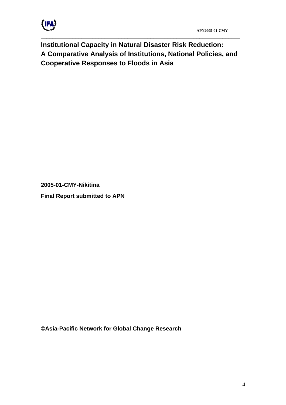

**Institutional Capacity in Natural Disaster Risk Reduction: A Comparative Analysis of Institutions, National Policies, and Cooperative Responses to Floods in Asia** 

\_\_\_\_\_\_\_\_\_\_\_\_\_\_\_\_\_\_\_\_\_\_\_\_\_\_\_\_\_\_\_\_\_\_\_\_\_\_\_\_\_\_\_\_\_\_\_\_\_\_\_\_\_\_\_\_\_\_\_\_\_\_\_\_\_\_\_\_\_

**2005-01-CMY-Nikitina** 

**Final Report submitted to APN** 

**©Asia-Pacific Network for Global Change Research**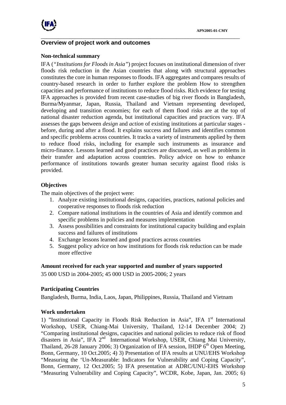

## **Overview of project work and outcomes**

#### **Non-technical summary**

IFA (*"Institutions for Floods in Asia"*) project focuses on institutional dimension of river floods risk reduction in the Asian countries that along with structural approaches constitutes the core in human responses to floods. IFA aggregates and compares results of country-based research in order to further explore the problem How to strengthen capacities and performance of institutions to reduce flood risks. Rich evidence for testing IFA approaches is provided from recent case-studies of big river floods in Bangladesh, Burma/Myanmar, Japan, Russia, Thailand and Vietnam representing developed, developing and transition economies; for each of them flood risks are at the top of national disaster reduction agenda, but institutional capacities and practices vary. IFA assesses the gaps between *design* and *action* of existing institutions at particular stages before, during and after a flood. It explains success and failures and identifies common and specific problems across countries. It tracks a variety of instruments applied by them to reduce flood risks, including for example such instruments as insurance and micro-finance. Lessons learned and good practices are discussed, as well as problems in their transfer and adaptation across countries. Policy advice on how to enhance performance of institutions towards greater human security against flood risks is provided.

\_\_\_\_\_\_\_\_\_\_\_\_\_\_\_\_\_\_\_\_\_\_\_\_\_\_\_\_\_\_\_\_\_\_\_\_\_\_\_\_\_\_\_\_\_\_\_\_\_\_\_\_\_\_\_\_\_\_\_\_\_\_\_\_\_\_\_\_\_

## **Objectives**

The main objectives of the project were:

- 1. Analyze existing institutional designs, capacities, practices, national policies and cooperative responses to floods risk reduction
- 2. Compare national institutions in the countries of Asia and identify common and specific problems in policies and measures implementation
- 3. Assess possibilities and constraints for institutional capacity building and explain success and failures of institutions
- 4. Exchange lessons learned and good practices across countries
- 5. Suggest policy advice on how institutions for floods risk reduction can be made more effective

#### **Amount received for each year supported and number of years supported**

35 000 USD in 2004-2005; 45 000 USD in 2005-2006; 2 years

#### **Participating Countries**

Bangladesh, Burma, India, Laos, Japan, Philippines, Russia, Thailand and Vietnam

## **Work undertaken**

1) "Institutional Capacity in Floods Risk Reduction in Asia", IFA 1<sup>st</sup> International Workshop, USER, Chiang-Mai University, Thailand, 12-14 December 2004; 2) "Comparing institutional designs, capacities and national policies to reduce risk of flood disasters in Asia", IFA 2<sup>nd</sup> International Workshop, USER, Chiang Mai University, Thailand, 26-28 January 2006; 3) Organization of IFA session, IHDP  $6<sup>th</sup>$  Open Meeting, Bonn, Germany, 10 Oct.2005; 4) 3) Presentation of IFA results at UNU/EHS Workshop "Measuring the 'Un-Measurable: Indicators for Vulnerability and Coping Capacity", Bonn, Germany, 12 Oct.2005; 5) IFA presentation at ADRC/UNU-EHS Workshop "Measuring Vulnerability and Coping Capacity", WCDR, Kobe, Japan, Jan. 2005; 6)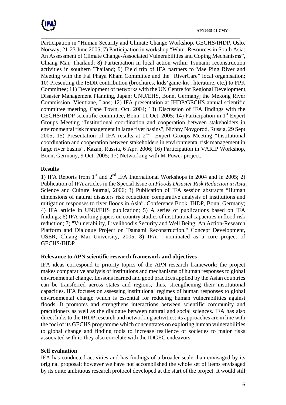

\_\_\_\_\_\_\_\_\_\_\_\_\_\_\_\_\_\_\_\_\_\_\_\_\_\_\_\_\_\_\_\_\_\_\_\_\_\_\_\_\_\_\_\_\_\_\_\_\_\_\_\_\_\_\_\_\_\_\_\_\_\_\_\_\_\_\_\_\_ Participation in "Human Security and Climate Change Workshop, GECHS/IHDP, Oslo, Norway, 21-23 June 2005; 7) Participation in workshop "Water Resources in South Asia: An Assessment of Climate Change-Associated Vulnerabilities and Coping Mechanisms", Chiang Mai, Thailand; 8) Participation in local action within Tsunami reconstruction activities in southern Thailand; 9) Field trip of IFA partners to Mae Ping River and Meeting with the Fai Phaya Kham Committee and the "RiverCare" local organisation; 10) Presenting the ISDR contribution (brochures, kids'game-kit , literature, etc.) to FPK Committee; 11) Development of networks with the UN Centre for Regional Development, Disaster Management Planning, Japan; UNU/EHS, Bonn, Germany; the Mekong River Commission, Vientiane, Laos; 12) IFA presentation at IHDP/GECHS annual scientific committee meeting, Cape Town, Oct. 2004; 13) Discussion of IFA findings with the GECHS/IHDP scientific committee, Bonn, 11 Oct. 2005; 14) Participation in 1<sup>st</sup> Expert Groups Meeting "Institutional coordination and cooperation between stakeholders in environmental risk management in large river basins", Nizhny Novgorod, Russia, 29 Sept. 2005; 15) Presentation of IFA results at  $2^{nd}$  Expert Groups Meeting "Institutional coordination and cooperation between stakeholders in environmental risk management in large river basins", Kazan, Russia, 6 Apr. 2006; 16) Participation in VARIP Workshop, Bonn, Germany, 9 Oct. 2005; 17) Networking with M-Power project.

### **Results**

1) IFA Reports from  $1<sup>st</sup>$  and  $2<sup>nd</sup>$  IFA International Workshops in 2004 and in 2005; 2) Publication of IFA articles in the Special Issue on *Floods Disaster Risk Reduction in Asia*, Science and Culture Journal, 2006; 3) Publication of IFA session abstracts "Human dimensions of natural disasters risk reduction: comparative analysis of institutions and mitigation responses to river floods in Asia". Conference Book, IHDP, Bonn, Germany; 4) IFA article in UNU/EHS publication; 5) A series of publications based on IFA findings; 6) IFA working papers on country studies of institutional capacities in flood risk reduction; 7) "Vulnerability, Livelihood's Security and Well Being: An Action-Research Platform and Dialogue Project on Tsunami Reconstruction." Concept Development, USER, Chiang Mai University, 2005; 8) IFA - nominated as a core project of GECHS/IHDP

#### **Relevance to APN scientific research framework and objectives**

IFA ideas correspond to priority topics of the APN research framework: the project makes comparative analysis of institutions and mechanisms of human responses to global environmental change. Lessons learned and good practices applied by the Asian countries can be transferred across states and regions, thus, strengthening their institutional capacities. IFA focuses on assessing institutional regimes of human responses to global environmental change which is essential for reducing human vulnerabilities against floods. It promotes and strengthens interactions between scientific community and practitioners as well as the dialogue between natural and social sciences. IFA has also direct links to the IHDP research and networking activities: its approaches are in line with the foci of its GECHS programme which concentrates on exploring human vulnerabilities to global change and finding tools to increase resilience of societies to major risks associated with it; they also correlate with the IDGEC endeavors.

## **Self evaluation**

IFA has conducted activities and has findings of a broader scale than envisaged by its original proposal; however we have not accomplished the whole set of items envisaged by its quite ambitious research protocol developed at the start of the project. It would still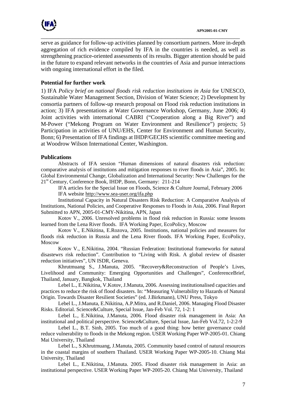

serve as guidance for follow-up activities planned by consortium partners. More in-depth aggregation of rich evidence compiled by IFA in the countries is needed, as well as strengthening practice-oriented assessments of its results. Bigger attention should be paid in the future to expand relevant networks in the countries of Asia and pursue interactions with ongoing international effort in the filed.

\_\_\_\_\_\_\_\_\_\_\_\_\_\_\_\_\_\_\_\_\_\_\_\_\_\_\_\_\_\_\_\_\_\_\_\_\_\_\_\_\_\_\_\_\_\_\_\_\_\_\_\_\_\_\_\_\_\_\_\_\_\_\_\_\_\_\_\_\_

### **Potential for further work**

1) IFA *Policy brief on national floods risk reduction institutions in Asia* for UNESCO, Sustainable Water Management Section, Division of Water Science; 2) Development by consortia partners of follow-up research proposal on Flood risk reduction institutions in action; 3) IFA presentations at Water Governance Workshop, Germany, June 2006; 4) Joint activities with international CABRI ("Cooperation along a Big River") and M-Power ("Mekong Program on Water Environment and Resilience") projects; 5) Participation in activities of UNU/EHS, Center for Environment and Human Security, Bonn; 6) Presentation of IFA findings at IHDP/GECHS scientific committee meeting and at Woodrow Wilson International Center, Washington.

#### **Publications**

Abstracts of IFA session "Human dimensions of natural disasters risk reduction: comparative analysis of institutions and mitigation responses to river floods in Asia", 2005. In: Global Environmental Change, Globalization and International Security: New Challenges for the 21<sup>st</sup> Century, Conference Book, IHDP, Bonn, Germany: 211-214

IFA articles for the Special Issue on Floods, Science & Culture Journal, February 2006 IFA website [http://www.sea-user.org/ifa.php](http://www.sea-user.org/floods.php)

Institutional Capacity in Natural Disasters Risk Reduction: A Comparative Analysis of Institutions, National Policies, and Cooperative Responses to Floods in Asia, 2006. Final Report Submitted to APN, 2005-01-CMY-Nikitina, APN, Japan

 Kotov V., 2006. Unresolved problems in flood risk reduction in Russia: some lessons learned from the Lena River floods. IFA Working Paper, EcoPolicy, Moscow

 Kotov V., E.Nikitina, E.Rozova, 2005. Institutions, national policies and measures for floods risk reduction in Russia and the Lena River floods. IFA Working Paper, EcoPolicy, Moscow

Kotov V., E.Nikitina, 2004. "Russian Federation: Institutional frameworks for natural disastewrs risk reduction". Contribution to "Living with Risk. A global review of disaster reduction initiatives", UN ISDR, Geneva.

Khrutmuang S., J.Manuta, 2005. "Recovery&Reconstruction of People's Lives, Livelihood and Community: Emerging Opportunities and Challenges", ConferenceBrief, Thailand, January, Bangkok, Thailand

 Lebel L., E.Nikitina, V.Kotov, J.Manuta, 2006. Assessing institutionalised capacities and practices to reduce the risk of flood disasters. In: "Measuring Vulnerability to Hazards of Natural Origin. Towards Disaster Resilient Societies" (ed. J.Birkmann), UNU Press, Tokyo

 Lebel L., J.Manuta, E.Nikitina, A.P.Mitra, and R.Daniel, 2006. Managing Flood Disaster Risks. Editorial. Science&Culture, Special Issue, Jan-Feb Vol. 72, 1-2: 1

 Lebel L., E.Nikitina, J.Manuta, 2006. Flood disaster risk management in Asia: An institutional and political perspective. Science&Culture, Special Issue, Jan-Feb Vol.72, 1-2:2-9

 Lebel L., B.T. Sinh, 2005. Too much of a good thing: how better governance could reduce vulnerability to floods in the Mekong region. USER Working Paper WP-2005-01. Chiang Mai University, Thailand

Lebel L., S.Khrutmuang, J.Manuta, 2005. Community based control of natural resources in the coastal margins of southern Thailand. USER Working Paper WP-2005-10. Chiang Mai University, Thailand

Lebel L., E.Nikitina, J.Manuta. 2005. Flood disaster risk management in Asia: an institutional perspective. USER Working Paper WP-2005-20. Chiang Mai University, Thailand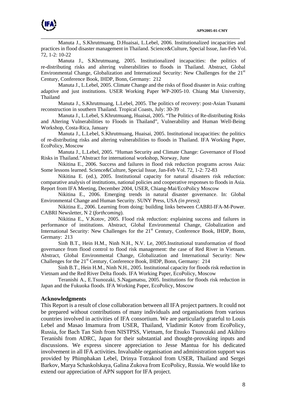

 Manuta J., S.Khrutmuang, D.Huaisai, L.Lebel, 2006. Institutionalized incapacities and practices in flood disaster management in Thailand. Science&Culture, Special Issue, Jan-Feb Vol. 72, 1-2: 10-22

\_\_\_\_\_\_\_\_\_\_\_\_\_\_\_\_\_\_\_\_\_\_\_\_\_\_\_\_\_\_\_\_\_\_\_\_\_\_\_\_\_\_\_\_\_\_\_\_\_\_\_\_\_\_\_\_\_\_\_\_\_\_\_\_\_\_\_\_\_

 Manuta J., S.Khrutmuang, 2005. Institutionalized incapacities: the politics of re-distributing risks and altering vulnerabilities to floods in Thailand. Abstract, Global Environmental Change, Globalization and International Security: New Challenges for the 21<sup>st</sup> Century, Conference Book, IHDP, Bonn, Germany: 212

Manuta J., L.Lebel, 2005. Climate Change and the risks of flood disaster in Asia: crafting adaptive and just institutions. USER Working Paper WP-2005-10. Chiang Mai University, Thailand

Manuta J., S.Khrutmuang, L.Lebel, 2005. The politics of recovery: post-Asian Tsunami reconstruction in southern Thailand. Tropical Coasts, July: 30-39

Manuta J., L.Lebel, S.Khrutmuang, Huaisai, 2005. "The Politics of Re-distributing Risks and Altering Vulnerabilities to Floods in Thailand", Vulnerability and Human Well-Being Workshop, Costa-Rica, January

Manuta J., L.Lebel, S.Khrutmuang, Huaisai, 2005. Institutional incapacities: the politics of re-distributing risks and altering vulnerabilities to floods in Thailand. IFA Working Paper, EcoPolicy, Moscow

Manuta J., L.Lebel, 2005. "Human Security and Climate Change: Governance of Flood Risks in Thailand."Abstract for international workshop, Norway, June

Nikitina E., 2006. Success and failures in flood risk reduction programs across Asia: Some lessons learned. Science&Culture, Special Issue, Jan-Feb Vol. 72, 1-2: 72-83

Nikitina E. (ed.), 2005. Institutional capacity for natural disasters risk reduction: comparative analysis of institutions, national policies and cooperative responses to floods in Asia. Report from IFA Meeting, December 2004, USER, Chiang-Mai/EcoPolicy Moscow

Nikitina E., 2006. Emerging trends in natural disaster governance. In: Global Environmental Change and Human Security. SUNY Press, USA *(in press)*;

Nikitina E., 2006. Learning from doing: building links between CABRI-IFA-M-Power. CABRI Newsletter, N 2 (*forthcoming*).

Nikitina E., V.Kotov, 2005. Flood risk reduction: explaining success and failures in performance of institutions. Abstract, Global Environmental Change, Globalization and International Security: New Challenges for the  $21<sup>st</sup>$  Century, Conference Book, IHDP, Bonn, Germany: 213

Sinh B.T., Hein H.M., Ninh N.H., N.V. Le, 2005.Institutional transformation of flood governance from flood control to flood risk management: the case of Red River in Vietnam. Abstract, Global Environmental Change, Globalization and International Security: New Challenges for the 21<sup>st</sup> Century, Conference Book, IHDP, Bonn, Germany: 214

Sinh B.T., Hein H.M., Ninh N.H., 2005. Institutional capacity for floods risk reduction in Vietnam and the Red River Delta floods. IFA Working Paper, EcoPolicy, Moscow

Teranishi A., E.Tsunozaki, S.Nagamatsu, 2005. Institutions for floods risk reduction in Japan and the Fukuoka floods. IFA Working Paper, EcoPolicy, Moscow

#### **Acknowledgments**

This Report is a result of close collaboration between all IFA project partners. It could not be prepared without contributions of many individuals and organisations from various countries involved in activities of IFA consortium. We are particularly grateful to Louis Lebel and Masao Imamura from USER, Thailand, Vladimir Kotov from EcoPolicy, Russia, for Bach Tan Sinh from NISTPSS, Vietnam, for Etsuko Tsunozaki and Akihiro Teranishi from ADRC, Japan for their substantial and thought-provoking inputs and discussions. We express sincere appreciation to Jesse Mantua for his dedicated involvement in all IFA activities. Invaluable organisation and administration support was provided by Phimphakan Lebel, Drinya Totrakool from USER, Thailand and Sergei Barkov, Marya Schaskolskaya, Galina Zukova from EcoPolicy, Russia. We would like to extend our appreciation of APN support for IFA project.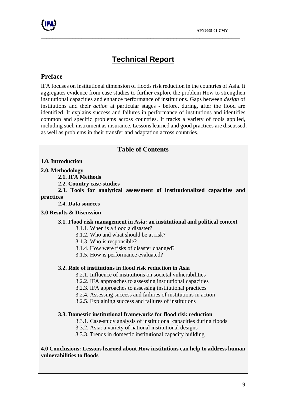# **Technical Report**

\_\_\_\_\_\_\_\_\_\_\_\_\_\_\_\_\_\_\_\_\_\_\_\_\_\_\_\_\_\_\_\_\_\_\_\_\_\_\_\_\_\_\_\_\_\_\_\_\_\_\_\_\_\_\_\_\_\_\_\_\_\_\_\_\_\_\_\_\_

## **Preface**

IFA focuses on institutional dimension of floods risk reduction in the countries of Asia. It aggregates evidence from case studies to further explore the problem How to strengthen institutional capacities and enhance performance of institutions. Gaps between *design* of institutions and their *action* at particular stages - before, during, after the flood are identified. It explains success and failures in performance of institutions and identifies common and specific problems across countries. It tracks a variety of tools applied, including such instrument as insurance. Lessons learned and good practices are discussed, as well as problems in their transfer and adaptation across countries.

# **Table of Contents 1.0. Introduction 2.0. Methodology 2.1. IFA Methods 2.2. Country case-studies 2.3. Tools for analytical assessment of institutionalized capacities and practices 2.4. Data sources 3.0 Results & Discussion 3.1. Flood risk management in Asia: an institutional and political context**  3.1.1. When is a flood a disaster? 3.1.2. Who and what should be at risk? 3.1.3. Who is responsible? 3.1.4. How were risks of disaster changed? 3.1.5. How is performance evaluated? **3.2. Role of institutions in flood risk reduction in Asia**  3.2.1. Influence of institutions on societal vulnerabilities 3.2.2. IFA approaches to assessing institutional capacities 3.2.3. IFA approaches to assessing institutional practices 3.2.4. Assessing success and failures of institutions in action 3.2.5. Explaining success and failures of institutions **3.3. Domestic institutional frameworks for flood risk reduction**  3.3.1. Case-study analysis of institutional capacities during floods 3.3.2. Asia: a variety of national institutional designs 3.3.3. Trends in domestic institutional capacity building **4.0 Conclusions: Lessons learned about How institutions can help to address human vulnerabilities to floods**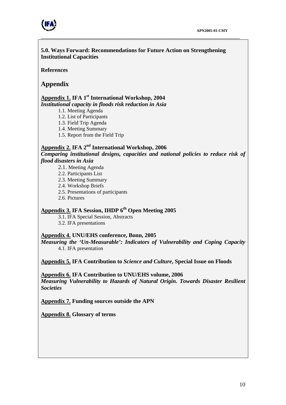

**5.0. Ways Forward: Recommendations for Future Action on Strengthening Institutional Capacities** 

\_\_\_\_\_\_\_\_\_\_\_\_\_\_\_\_\_\_\_\_\_\_\_\_\_\_\_\_\_\_\_\_\_\_\_\_\_\_\_\_\_\_\_\_\_\_\_\_\_\_\_\_\_\_\_\_\_\_\_\_\_\_\_\_\_\_\_\_\_

**References** 

## **Appendix**

#### **Appendix 1. IFA 1st International Workshop, 2004**  *Institutional capacity in floods risk reduction in Asia*

1.1. Meeting Agenda

1.2. List of Participants

1.3. Field Trip Agenda

1.4. Meeting Summary

1.5. Report from the Field Trip

## **Appendix 2. IFA 2nd International Workshop, 2006**

*Comparing institutional designs, capacities and national policies to reduce risk of flood disasters in Asia*

- 2.1. Meeting Agenda
- 2.2. Participants List
- 2.3. Meeting Summary
- 2.4. Workshop Briefs
- 2.5. Presentations of participants
- 2.6. Pictures

## **Appendix 3. IFA Session, IHDP 6th Open Meeting 2005**

3.1. IFA Special Session, Abstracts

3.2. IFA presentations

## **Appendix 4. UNU/EHS conference, Bonn, 2005**

*Measuring the 'Un-Measurable': Indicators of Vulnerability and Coping Capacity* 4.1. IFA presentation

**Appendix 5. IFA Contribution to** *Science and Culture***, Special Issue on Floods** 

**Appendix 6. IFA Contribution to UNU/EHS volume, 2006**  *Measuring Vulnerability to Hazards of Natural Origin. Towards Disaster Resilient Societies*

**Appendix 7. Funding sources outside the APN** 

**Appendix 8. Glossary of terms**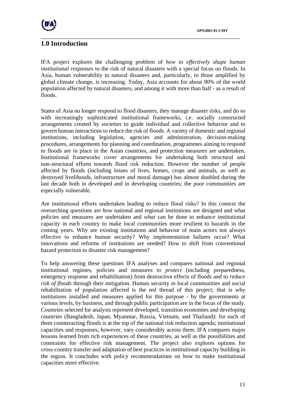

# **1.0 Introduction**

IFA project explores the challenging problem of *how to effectively shape human institutional responses* to the risk of natural disasters with a special focus on floods. In Asia, human vulnerability to natural disasters and, particularly, to those amplified by global climate change, is increasing. Today, Asia accounts for about 90% of the world population affected by natural disasters, and among it with more than half - as a result of floods.

\_\_\_\_\_\_\_\_\_\_\_\_\_\_\_\_\_\_\_\_\_\_\_\_\_\_\_\_\_\_\_\_\_\_\_\_\_\_\_\_\_\_\_\_\_\_\_\_\_\_\_\_\_\_\_\_\_\_\_\_\_\_\_\_\_\_\_\_\_

States of Asia no longer respond to flood disasters, they manage disaster risks, and do so with increasingly sophisticated institutional frameworks, i.e. socially constructed arrangements created by societies to guide individual and collective behavior and to govern human interactions to reduce the risk of floods. A variety of domestic and regional institutions, including legislation, agencies and administration, decision-making procedures, arrangements for planning and coordination, programmes aiming to respond to floods are in place in the Asian countries, and protection measures are undertaken. Institutional frameworks cover arrangements for undertaking both structural and non-structural efforts towards flood risk reduction. However the number of people affected by floods (including losses of lives, homes, crops and animals, as well as destroyed livelihoods, infrastructure and moral damage) has almost doubled during the last decade both in developed and in developing countries; the poor communities are especially vulnerable.

Are institutional efforts undertaken leading to reduce flood risks? In this context the overarching questions are *how* national and regional institutions are designed and what policies and measures are undertaken and *what* can be done to enhance institutional capacity in each country to make local communities more resilient to hazards in the coming years. Why are existing institutions and behavior of main actors not always effective to enhance human security? Why implementation failures occur? What innovations and reforms of institutions are needed? How to shift from conventional hazard protection to disaster risk management?

To help answering these questions IFA analyses and compares national and regional institutional regimes, policies and measures to *protect* (including preparedness, emergency response and rehabilitation) from destructive effects of floods and to *reduce risk of floods* through their mitigation. Human security in local communities and social rehabilitation of population affected is the red thread of this project; that is why institutions installed and measures applied for this purpose - by the governments at various levels, by business, and through public participation are in the focus of the study. Countries selected for analysis represent developed, transition economies and developing countries (Bangladesh, Japan, Myanmar, Russia, Vietnam, and Thailand): for each of them counteracting floods is at the top of the national risk reduction agenda; institutional capacities and responses, however, vary considerably across them. IFA compares major lessons learned from rich experiences of these countries, as well as the possibilities and constraints for effective risk management. The project also explores options for cross-country transfer and adaptation of best practices in institutional capacity building in the region. It concludes with policy recommendations on how to make institutional capacities more effective.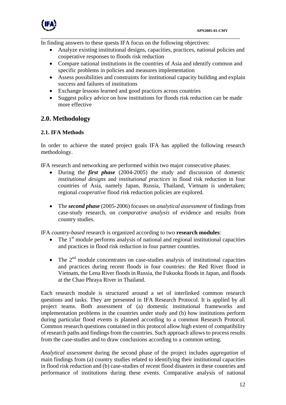

In finding answers to these quests IFA focus on the following objectives:

• Analyze existing institutional designs, capacities, practices, national policies and cooperative responses to floods risk reduction

\_\_\_\_\_\_\_\_\_\_\_\_\_\_\_\_\_\_\_\_\_\_\_\_\_\_\_\_\_\_\_\_\_\_\_\_\_\_\_\_\_\_\_\_\_\_\_\_\_\_\_\_\_\_\_\_\_\_\_\_\_\_\_\_\_\_\_\_\_

- Compare national institutions in the countries of Asia and identify common and specific problems in policies and measures implementation
- Assess possibilities and constraints for institutional capacity building and explain success and failures of institutions
- Exchange lessons learned and good practices across countries
- Suggest policy advice on how institutions for floods risk reduction can be made more effective

## **2.0. Methodology**

### **2.1. IFA Methods**

In order to achieve the stated project goals IFA has applied the following research methodology.

IFA research and networking are performed within two major consecutive phases:

- During the *first phase* (2004-2005) the study and discussion of domestic *institutional designs* and *institutional practices* in flood risk reduction in four countries of Asia, namely Japan, Russia, Thailand, Vietnam is undertaken; regional *cooperative* flood risk reduction policies are explored.
- The *second phase* (2005-2006) focuses on *analytical assessment* of findings from case-study research, on *comparative analysis* of evidence and results from country studies.

IFA *country-based* research is organized according to two **research modules**:

- The  $1<sup>st</sup>$  module performs analysis of national and regional institutional capacities and practices in flood risk reduction in four partner countries.
- The  $2<sup>nd</sup>$  module concentrates on case-studies analysis of institutional capacities and practices during recent floods in four countries: the Red River flood in Vietnam, the Lena River floods in Russia, the Fukuoka floods in Japan, and floods at the Chao Phraya River in Thailand.

Each research module is structured around a set of interlinked common research questions and tasks. They are presented in IFA Research Protocol. It is applied by all project teams. Both assessment of (a) domestic institutional frameworks and implementation problems in the countries under study and (b) how institutions perform during particular flood events is planned according to a common Research Protocol. Common research questions contained in this protocol allow high extent of compatibility of research paths and findings from the countries. Such approach allows to process results from the case-studies and to draw conclusions according to a common setting.

*Analytical assessment* during the second phase of the project includes *aggregation* of main findings from (a) country studies related to identifying their institutional capacities in flood risk reduction and (b) case-studies of recent flood disasters in these countries and performance of institutions during these events. Comparative analysis of national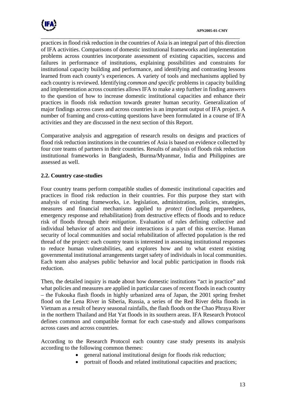

\_\_\_\_\_\_\_\_\_\_\_\_\_\_\_\_\_\_\_\_\_\_\_\_\_\_\_\_\_\_\_\_\_\_\_\_\_\_\_\_\_\_\_\_\_\_\_\_\_\_\_\_\_\_\_\_\_\_\_\_\_\_\_\_\_\_\_\_\_ practices in flood risk reduction in the countries of Asia is an integral part of this direction of IFA activities. Comparisons of domestic institutional frameworks and implementation problems across countries incorporate assessment of existing capacities, success and failures in performance of institutions, explaining possibilities and constraints for institutional capacity building and performance, and identifying and contrasting lessons learned from each county's experiences. A variety of tools and mechanisms applied by each country is reviewed. Identifying *common and specific* problems in capacity building and implementation across countries allows IFA to make a step further in finding answers to the question of how to increase domestic institutional capacities and enhance their practices in floods risk reduction towards greater human security. Generalization of major findings across cases and across countries is an important output of IFA project. A number of framing and cross-cutting questions have been formulated in a course of IFA activities and they are discussed in the next section of this Report.

Comparative analysis and aggregation of research results on designs and practices of flood risk reduction institutions in the countries of Asia is based on evidence collected by four core teams of partners in their countries. Results of analysis of floods risk reduction institutional frameworks in Bangladesh, Burma/Myanmar, India and Philippines are assessed as well.

## **2.2. Country case-studies**

Four country teams perform compatible studies of domestic institutional capacities and practices in flood risk reduction in their countries. For this purpose they start with analysis of existing frameworks, i.e. legislation, administration, policies, strategies, measures and financial mechanisms applied to *protect* (including preparedness, emergency response and rehabilitation) from destructive effects of floods and to reduce risk of floods through their *mitigation*. Evaluation of rules defining collective and individual behavior of actors and their interactions is a part of this exercise. Human security of local communities and social rehabilitation of affected population is the red thread of the project: each country team is interested in assessing institutional responses to reduce human vulnerabilities, and explores how and to what extent existing governmental institutional arrangements target safety of individuals in local communities. Each team also analyses public behavior and local public participation in floods risk reduction.

Then, the detailed inquiry is made about how domestic institutions "act in practice" and what policies and measures are applied in particular cases of recent floods in each country – the Fukouka flash floods in highly urbanized area of Japan, the 2001 spring freshet flood on the Lena River in Siberia, Russia, a series of the Red River delta floods in Vietnam as a result of heavy seasonal rainfalls, the flash floods on the Chao Phraya River in the northern Thailand and Hat Yat floods in its southern areas. IFA Research Protocol defines common and compatible format for each case-study and allows comparisons across cases and across countries.

According to the Research Protocol each country case study presents its analysis according to the following common themes:

- general national institutional design for floods risk reduction;
- portrait of floods and related institutional capacities and practices;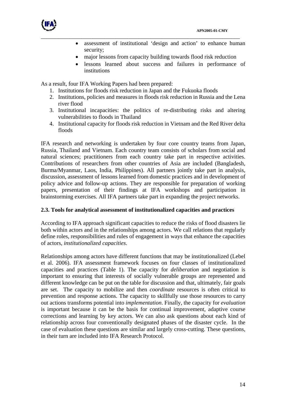

- assessment of institutional 'design and action' to enhance human security;
- major lessons from capacity building towards flood risk reduction
- lessons learned about success and failures in performance of institutions

As a result, four IFA Working Papers had been prepared:

1. Institutions for floods risk reduction in Japan and the Fukuoka floods

\_\_\_\_\_\_\_\_\_\_\_\_\_\_\_\_\_\_\_\_\_\_\_\_\_\_\_\_\_\_\_\_\_\_\_\_\_\_\_\_\_\_\_\_\_\_\_\_\_\_\_\_\_\_\_\_\_\_\_\_\_\_\_\_\_\_\_\_\_

- 2. Institutions, policies and measures in floods risk reduction in Russia and the Lena river flood
- 3. Institutional incapacities: the politics of re-distributing risks and altering vulnerabilities to floods in Thailand
- 4. Institutional capacity for floods risk reduction in Vietnam and the Red River delta floods

IFA research and networking is undertaken by four core country teams from Japan, Russia, Thailand and Vietnam. Each country team consists of scholars from social and natural sciences; practitioners from each country take part in respective activities. Contributions of researchers from other countries of Asia are included (Bangladesh, Burma/Myanmar, Laos, India, Philippines). All partners jointly take part in analysis, discussion, assessment of lessons learned from domestic practices and in development of policy advice and follow-up actions. They are responsible for preparation of working papers, presentation of their findings at IFA workshops and participation in brainstorming exercises. All IFA partners take part in expanding the project networks.

#### **2.3. Tools for analytical assessment of institutionalized capacities and practices**

According to IFA approach significant capacities to reduce the risks of flood disasters lie both within actors and in the relationships among actors. We call relations that regularly define roles, responsibilities and rules of engagement in ways that enhance the capacities of actors, *institutionalized capacities*.

Relationships among actors have different functions that may be institutionalized (Lebel et al. 2006). IFA assessment framework focuses on four classes of institutionalized capacities and practices ([Table 1\)](#page-14-0). The capacity for *deliberation* and negotiation is important to ensuring that interests of socially vulnerable groups are represented and different knowledge can be put on the table for discussion and that, ultimately, fair goals are set. The capacity to mobilize and then *coordinate* resources is often critical to prevention and response actions. The capacity to skillfully use those resources to carry out actions transforms potential into *implementation*. Finally, the capacity for *evaluation* is important because it can be the basis for continual improvement, adaptive course corrections and learning by key actors. We can also ask questions about each kind of relationship across four conventionally designated phases of the disaster cycle. In the case of evaluation these questions are similar and largely cross-cutting. These questions, in their turn are included into IFA Research Protocol.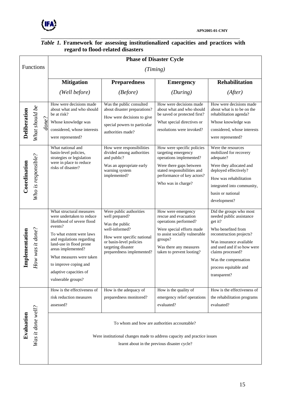

<span id="page-14-0"></span>

| regaru to hood-related disasters |  |                                                                                                                                                                                                                                                                                                               |                                                                                                                                                                                           |                                                                                                                                                                                                      |                                                                                                                                                                                                                                                                  |  |  |  |
|----------------------------------|--|---------------------------------------------------------------------------------------------------------------------------------------------------------------------------------------------------------------------------------------------------------------------------------------------------------------|-------------------------------------------------------------------------------------------------------------------------------------------------------------------------------------------|------------------------------------------------------------------------------------------------------------------------------------------------------------------------------------------------------|------------------------------------------------------------------------------------------------------------------------------------------------------------------------------------------------------------------------------------------------------------------|--|--|--|
| Functions                        |  | <b>Phase of Disaster Cycle</b>                                                                                                                                                                                                                                                                                |                                                                                                                                                                                           |                                                                                                                                                                                                      |                                                                                                                                                                                                                                                                  |  |  |  |
|                                  |  |                                                                                                                                                                                                                                                                                                               |                                                                                                                                                                                           |                                                                                                                                                                                                      |                                                                                                                                                                                                                                                                  |  |  |  |
|                                  |  | <b>Mitigation</b>                                                                                                                                                                                                                                                                                             | <b>Preparedness</b>                                                                                                                                                                       | <b>Emergency</b>                                                                                                                                                                                     | <b>Rehabilitation</b>                                                                                                                                                                                                                                            |  |  |  |
|                                  |  | (Well before)                                                                                                                                                                                                                                                                                                 | (Before)                                                                                                                                                                                  | (During)                                                                                                                                                                                             | (After)                                                                                                                                                                                                                                                          |  |  |  |
| What should be                   |  | How were decisions made<br>about what and who should<br>be at risk?<br>Whose knowledge was<br>considered, whose interests<br>were represented?                                                                                                                                                                | Was the public consulted<br>about disaster preparations?<br>How were decisions to give<br>special powers to particular<br>authorities made?                                               | How were decisions made<br>about what and who should<br>be saved or protected first?<br>What special directives or<br>resolutions were invoked?                                                      | How were decisions made<br>about what is to be on the<br>rehabilitation agenda?<br>Whose knowledge was<br>considered, whose interests<br>were represented?                                                                                                       |  |  |  |
| Who is responsible?              |  | What national and<br>basin-level policies,<br>strategies or legislation<br>were in place to reduce<br>risks of disaster?                                                                                                                                                                                      | How were responsibilities<br>divided among authorities<br>and public?<br>Was an appropriate early<br>warning system<br>implemented?                                                       | How were specific policies<br>targeting emergency<br>operations implemented?<br>Were there gaps between<br>stated responsibilities and<br>performance of key actors?<br>Who was in charge?           | Were the resources<br>mobilized for recovery<br>adequate?<br>Were they allocated and<br>deployed effectively?<br>How was rehabilitation<br>integrated into community,<br>basin or national<br>development?                                                       |  |  |  |
| ow was it done?                  |  | What structural measures<br>were undertaken to reduce<br>likelihood of severe flood<br>events?<br>To what extent were laws<br>and regulations regarding<br>land-use in flood prone<br>areas implemented?<br>What measures were taken<br>to improve coping and<br>adaptive capacities of<br>vulnerable groups? | Were public authorities<br>well prepared?<br>Was the public<br>well-informed?<br>How were specific national<br>or basin-level policies<br>targeting disaster<br>preparedness implemented? | How were emergency<br>rescue and evacuation<br>operations performed?<br>Were special efforts made<br>to assist socially vulnerable<br>groups?<br>Was there any measures<br>taken to prevent looting? | Did the groups who most<br>needed public assistance<br>get it?<br>Who benefited from<br>reconstruction projects?<br>Was insurance available<br>and used and if so how were<br>claims processed?<br>Was the compensation<br>process equitable and<br>transparent? |  |  |  |
| Was it done well?                |  | How is the effectiveness of<br>risk reduction measures<br>assessed?                                                                                                                                                                                                                                           | How is the adequacy of<br>preparedness monitored?                                                                                                                                         | How is the quality of<br>emergency relief operations<br>evaluated?                                                                                                                                   | How is the effectiveness of<br>the rehabilitation programs<br>evaluated?                                                                                                                                                                                         |  |  |  |
|                                  |  |                                                                                                                                                                                                                                                                                                               | $done$ ?                                                                                                                                                                                  |                                                                                                                                                                                                      | (Timing)<br>To whom and how are authorities accountable?<br>Were institutional changes made to address capacity and practice issues<br>learnt about in the previous disaster cycle?                                                                              |  |  |  |

#### *Table 1.* **Framework for assessing institutionalized capacities and practices with regard to flood-related disasters**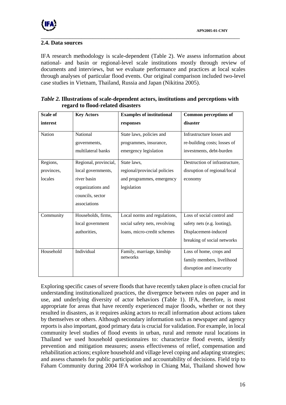## **2.4. Data sources**

IFA research methodology is scale-dependent ([Table 2\)](#page-15-0). We assess information about national- and basin or regional-level scale institutions mostly through review of documents and interviews, but we evaluate performance and practices at local scales through analyses of particular flood events. Our original comparison included two-level case studies in Vietnam, Thailand, Russia and Japan (Nikitina 2005).

\_\_\_\_\_\_\_\_\_\_\_\_\_\_\_\_\_\_\_\_\_\_\_\_\_\_\_\_\_\_\_\_\_\_\_\_\_\_\_\_\_\_\_\_\_\_\_\_\_\_\_\_\_\_\_\_\_\_\_\_\_\_\_\_\_\_\_\_\_

<span id="page-15-0"></span>

| <i>Table 2.</i> Illustrations of scale-dependent actors, institutions and perceptions with |  |
|--------------------------------------------------------------------------------------------|--|
| regard to flood-related disasters                                                          |  |

| Scale of                          | <b>Key Actors</b>                                                                                                   | <b>Examples of institutional</b>                                                             | <b>Common perceptions of</b>                                                                                     |
|-----------------------------------|---------------------------------------------------------------------------------------------------------------------|----------------------------------------------------------------------------------------------|------------------------------------------------------------------------------------------------------------------|
| interest                          |                                                                                                                     | responses                                                                                    | disaster                                                                                                         |
| Nation                            | National<br>governments,<br>multilateral banks                                                                      | State laws, policies and<br>programmes, insurance,<br>emergency legislation                  | Infrastructure losses and<br>re-building costs; losses of<br>investments, debt-burden                            |
| Regions,<br>provinces,<br>locales | Regional, provincial,<br>local governments,<br>river basin<br>organizations and<br>councils, sector<br>associations | State laws,<br>regional/provincial policies<br>and programmes, emergency<br>legislation      | Destruction of infrastructure,<br>disruption of regional/local<br>economy                                        |
| Community                         | Households, firms,<br>local government<br>authorities,                                                              | Local norms and regulations,<br>social safety nets, revolving<br>loans, micro-credit schemes | Loss of social control and<br>safety nets (e.g. looting),<br>Displacement-induced<br>breaking of social networks |
| Household                         | Individual                                                                                                          | Family, marriage, kinship<br>networks                                                        | Loss of home, crops and<br>family members, livelihood<br>disruption and insecurity                               |

Exploring specific cases of severe floods that have recently taken place is often crucial for understanding institutionalized practices, the divergence between rules on paper and in use, and underlying diversity of actor behaviors ([Table 1\)](#page-14-0). IFA, therefore, is most appropriate for areas that have recently experienced major floods, whether or not they resulted in disasters, as it requires asking actors to recall information about actions taken by themselves or others. Although secondary information such as newspaper and agency reports is also important, good primary data is crucial for validation. For example, in local community level studies of flood events in urban, rural and remote rural locations in Thailand we used household questionnaires to: characterize flood events, identify prevention and mitigation measures; assess effectiveness of relief, compensation and rehabilitation actions; explore household and village level coping and adapting strategies; and assess channels for public participation and accountability of decisions. Field trip to Faham Community during 2004 IFA workshop in Chiang Mai, Thailand showed how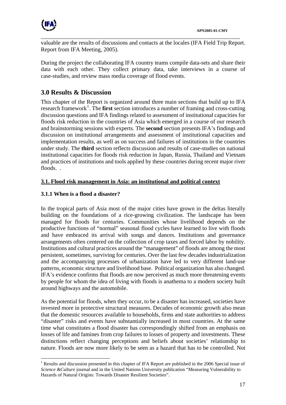

\_\_\_\_\_\_\_\_\_\_\_\_\_\_\_\_\_\_\_\_\_\_\_\_\_\_\_\_\_\_\_\_\_\_\_\_\_\_\_\_\_\_\_\_\_\_\_\_\_\_\_\_\_\_\_\_\_\_\_\_\_\_\_\_\_\_\_\_\_ valuable are the results of discussions and contacts at the locales (IFA Field Trip Report. Report from IFA Meeting, 2005).

During the project the collaborating IFA country teams compile data-sets and share their data with each other. They collect primary data, take interviews in a course of case-studies, and review mass media coverage of flood events.

## **3.0 Results & Discussion**

This chapter of the Report is organized around three main sections that build up to IFA research framework<sup>[1](#page-16-0)</sup>. The **first** section introduces a number of framing and cross-cutting discussion questions and IFA findings related to assessment of institutional capacities for floods risk reduction in the countries of Asia which emerged in a course of our research and brainstorming sessions with experts. The **second** section presents IFA's findings and discussion on institutional arrangements and assessment of institutional capacities and implementation results, as well as on success and failures of institutions in the countries under study. The **third** section reflects discussion and results of case-studies on national institutional capacities for floods risk reduction in Japan, Russia, Thailand and Vietnam and practices of institutions and tools applied by these countries during recent major river floods.

## **3.1. Flood risk management in Asia: an institutional and political context**

## **3.1.1 When is a flood a disaster?**

 $\overline{a}$ 

In the tropical parts of Asia most of the major cities have grown in the deltas literally building on the foundations of a rice-growing civilization. The landscape has been managed for floods for centuries. Communities whose livelihood depends on the productive functions of "normal" seasonal flood cycles have learned to live with floods and have embraced its arrival with songs and dances. Institutions and governance arrangements often centered on the collection of crop taxes and forced labor by nobility. Institutions and cultural practices around the "management" of floods are among the most persistent, sometimes, surviving for centuries. Over the last few decades industrialization and the accompanying processes of urbanization have led to very different land-use patterns, economic structure and livelihood base. Political organization has also changed. IFA's evidence confirms that floods are now perceived as much more threatening events by people for whom the idea of living with floods is anathema to a modern society built around highways and the automobile.

As the potential for floods, when they occur, to be a disaster has increased, societies have invested more in protective structural measures. Decades of economic growth also mean that the domestic resources available to households, firms and state authorities to address "disaster" risks and events have substantially increased in most countries. At the same time what constitutes a flood disaster has correspondingly shifted from an emphasis on losses of life and famines from crop failures to losses of property and investments. These distinctions reflect changing perceptions and beliefs about societies' relationship to nature. Floods are now more likely to be seen as a hazard that has to be controlled. Not

<span id="page-16-0"></span><sup>&</sup>lt;sup>1</sup> Results and discussion presented in this chapter of IFA Report are published in the 2006 Special issue of *Science &Culture* journal and in the United Nations University publication "Measuring Vulnerability to Hazards of Natural Origins: Towards Disaster Resilient Societies".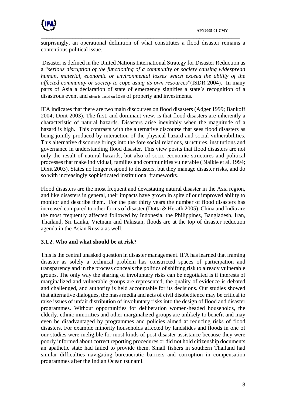

surprisingly, an operational definition of what constitutes a flood disaster remains a contentious political issue.

\_\_\_\_\_\_\_\_\_\_\_\_\_\_\_\_\_\_\_\_\_\_\_\_\_\_\_\_\_\_\_\_\_\_\_\_\_\_\_\_\_\_\_\_\_\_\_\_\_\_\_\_\_\_\_\_\_\_\_\_\_\_\_\_\_\_\_\_\_

 Disaster is defined in the United Nations International Strategy for Disaster Reduction as a "*serious disruption of the functioning of a community or society causing widespread human, material, economic or environmental losses which exceed the ability of the affected community or society to cope using its own resources*"(ISDR 2004). In many parts of Asia a declaration of state of emergency signifies a state's recognition of a disastrous event and often is based on loss of property and investments.

IFA indicates that there are two main discourses on flood disasters (Adger 1999; Bankoff 2004; Dixit 2003). The first, and dominant view, is that flood disasters are inherently a characteristic of natural hazards. Disasters arise inevitably when the magnitude of a hazard is high. This contrasts with the alternative discourse that sees flood disasters as being jointly produced by interaction of the physical hazard and social vulnerabilities. This alternative discourse brings into the fore social relations, structures, institutions and governance in understanding flood disaster. This view posits that flood disasters are not only the result of natural hazards, but also of socio-economic structures and political processes that make individual, families and communities vulnerable (Blaikie et al. 1994; Dixit 2003). States no longer respond to disasters, but they manage disaster risks, and do so with increasingly sophisticated institutional frameworks.

Flood disasters are the most frequent and devastating natural disaster in the Asia region, and like disasters in general, their impacts have grown in spite of our improved ability to monitor and describe them. For the past thirty years the number of flood disasters has increased compared to other forms of disaster (Dutta & Herath 2005). China and India are the most frequently affected followed by Indonesia, the Philippines, Bangladesh, Iran, Thailand, Sri Lanka, Vietnam and Pakistan; floods are at the top of disaster reduction agenda in the Asian Russia as well.

## **3.1.2. Who and what should be at risk?**

This is the central unasked question in disaster management. IFA has learned that framing disaster as solely a technical problem has constricted spaces of participation and transparency and in the process conceals the politics of shifting risk to already vulnerable groups. The only way the sharing of involuntary risks can be negotiated is if interests of marginalized and vulnerable groups are represented, the quality of evidence is debated and challenged, and authority is held accountable for its decisions. Our studies showed that alternative dialogues, the mass media and acts of civil disobedience may be critical to raise issues of unfair distribution of involuntary risks into the design of flood and disaster programmes. Without opportunities for deliberation women-headed households, the elderly, ethnic minorities and other marginalized groups are unlikely to benefit and may even be disadvantaged by programmes and policies aimed at reducing risks of flood disasters. For example minority households affected by landslides and floods in one of our studies were ineligible for most kinds of post-disaster assistance because they were poorly informed about correct reporting procedures or did not hold citizenship documents an apathetic state had failed to provide them. Small fishers in southern Thailand had similar difficulties navigating bureaucratic barriers and corruption in compensation programmes after the Indian Ocean tsunami.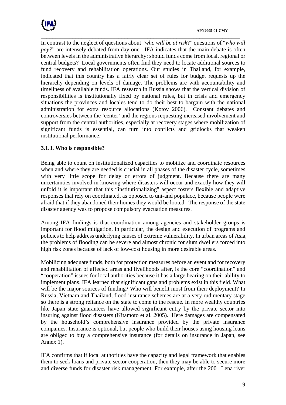

In contrast to the neglect of questions about "*who will be at risk*?" questions of "*who will pay?*" are intensely debated from day one. IFA indicates that the main debate is often between levels in the administrative hierarchy: should funds come from local, regional or central budgets? Local governments often find they need to locate additional sources to fund recovery and rehabilitation operations. Our studies in Thailand, for example, indicated that this country has a fairly clear set of rules for budget requests up the hierarchy depending on levels of damage. The problems are with accountability and timeliness of available funds. IFA research in Russia shows that the vertical division of responsibilities is institutionally fixed by national rules, but in crisis and emergency situations the provinces and locales tend to do their best to bargain with the national administration for extra resource allocations (Kotov 2006). Constant debates and controversies between the 'center' and the regions requesting increased involvement and support from the central authorities, especially at recovery stages where mobilization of significant funds is essential, can turn into conflicts and gridlocks that weaken institutional performance.

\_\_\_\_\_\_\_\_\_\_\_\_\_\_\_\_\_\_\_\_\_\_\_\_\_\_\_\_\_\_\_\_\_\_\_\_\_\_\_\_\_\_\_\_\_\_\_\_\_\_\_\_\_\_\_\_\_\_\_\_\_\_\_\_\_\_\_\_\_

## **3.1.3. Who is responsible?**

Being able to count on institutionalized capacities to mobilize and coordinate resources when and where they are needed is crucial in all phases of the disaster cycle, sometimes with very little scope for delay or errors of judgment. Because there are many uncertainties involved in knowing where disasters will occur and exactly how they will unfold it is important that this "institutionalizing" aspect fosters flexible and adaptive responses that rely on coordinated, as opposed to uni-and populace, because people were afraid that if they abandoned their homes they would be looted. The response of the state disaster agency was to propose compulsory evacuation measures.

Among IFA findings is that coordination among agencies and stakeholder groups is important for flood mitigation, in particular, the design and execution of programs and policies to help address underlying causes of extreme vulnerability. In urban areas of Asia, the problems of flooding can be severe and almost chronic for slum dwellers forced into high risk zones because of lack of low-cost housing in more desirable areas.

Mobilizing adequate funds, both for protection measures before an event and for recovery and rehabilitation of affected areas and livelihoods after, is the core "coordination" and "cooperation" issues for local authorities because it has a large bearing on their ability to implement plans. IFA learned that significant gaps and problems exist in this field. What will be the major sources of funding? Who will benefit most from their deployment? In Russia, Vietnam and Thailand, flood insurance schemes are at a very rudimentary stage so there is a strong reliance on the state to come to the rescue. In more wealthy countries like Japan state guarantees have allowed significant entry by the private sector into insuring against flood disasters (Kitamoto et al. 2005). Here damages are compensated by the household's comprehensive insurance provided by the private insurance companies. Insurance is optional, but people who build their houses using housing loans are obliged to buy a comprehensive insurance (for details on insurance in Japan, see Annex 1).

IFA confirms that if local authorities have the capacity and legal framework that enables them to seek loans and private sector cooperation, then they may be able to secure more and diverse funds for disaster risk management. For example, after the 2001 Lena river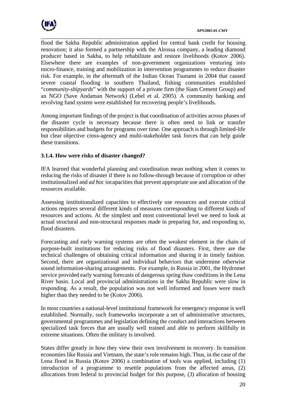

\_\_\_\_\_\_\_\_\_\_\_\_\_\_\_\_\_\_\_\_\_\_\_\_\_\_\_\_\_\_\_\_\_\_\_\_\_\_\_\_\_\_\_\_\_\_\_\_\_\_\_\_\_\_\_\_\_\_\_\_\_\_\_\_\_\_\_\_\_ flood the Sakha Republic administration applied for central bank credit for housing renovation; it also formed a partnership with the Alrossa company, a leading diamond producer based in Sakha, to help rehabilitate and restore livelihoods (Kotov 2006). Elsewhere there are examples of non-government organizations venturing into micro-finance, training and mobilization in intervention programmes to reduce disaster risk. For example, in the aftermath of the Indian Ocean Tsunami in 2004 that caused severe coastal flooding in southern Thailand, fishing communities established "*community-shipyards*" with the support of a private firm (the Siam Cement Group) and an NGO (Save Andaman Network) (Lebel et al. 2005). A community banking and revolving fund system were established for recovering people's livelihoods.

Among important findings of the project is that coordination of activities across phases of the disaster cycle is necessary because there is often need to link or transfer responsibilities and budgets for programs over time. One approach is through limited-life but clear objective cross-agency and multi-stakeholder task forces that can help guide these transitions.

## **3.1.4. How were risks of disaster changed?**

IFA learned that wonderful planning and coordination mean nothing when it comes to reducing the risks of disaster if there is no follow-through because of corruption or other institutionalized and *ad hoc* incapacities that prevent appropriate use and allocation of the resources available.

Assessing institutionalized capacities to effectively use resources and execute critical actions requires several different kinds of measures corresponding to different kinds of resources and actions. At the simplest and most conventional level we need to look at actual structural and non-structural responses made in preparing for, and responding to, flood disasters.

Forecasting and early warning systems are often the weakest element in the chain of purpose-built institutions for reducing risks of flood disasters. First, there are the technical challenges of obtaining critical information and sharing it in timely fashion. Second, there are organizational and individual behaviors that undermine otherwise sound information-sharing arrangements. For example, in Russia in 2001, the Hydromet service provided early warning forecasts of dangerous spring thaw conditions in the Lena River basin. Local and provincial administrations in the Sakha Republic were slow in responding. As a result, the population was not well informed and losses were much higher than they needed to be (Kotov 2006).

In most countries a national-level institutional framework for emergency response is well established. Normally, such frameworks incorporate a set of administrative structures, governmental programmes and legislation defining the conduct and interactions between specialized task forces that are usually well trained and able to perform skillfully in extreme situations. Often the military is involved.

States differ greatly in how they view their own involvement in recovery. In transition economies like Russia and Vietnam, the state's role remains high. Thus, in the case of the Lena flood in Russia (Kotov 2006) a combination of tools was applied, including (1) introduction of a programme to resettle populations from the affected areas, (2) allocations from federal to provincial budget for this purpose, (3) allocation of housing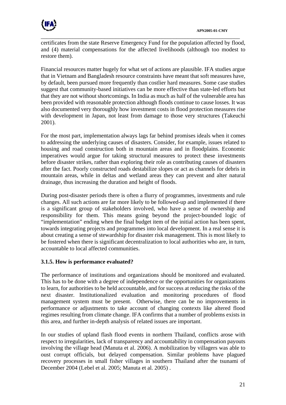

certificates from the state Reserve Emergency Fund for the population affected by flood, and (4) material compensations for the affected livelihoods (although too modest to restore them).

\_\_\_\_\_\_\_\_\_\_\_\_\_\_\_\_\_\_\_\_\_\_\_\_\_\_\_\_\_\_\_\_\_\_\_\_\_\_\_\_\_\_\_\_\_\_\_\_\_\_\_\_\_\_\_\_\_\_\_\_\_\_\_\_\_\_\_\_\_

Financial resources matter hugely for what set of actions are plausible. IFA studies argue that in Vietnam and Bangladesh resource constraints have meant that soft measures have, by default, been pursued more frequently than costlier hard measures. Some case studies suggest that community-based initiatives can be more effective than state-led efforts but that they are not without shortcomings. In India as much as half of the vulnerable area has been provided with reasonable protection although floods continue to cause losses. It was also documented very thoroughly how investment costs in flood protection measures rise with development in Japan, not least from damage to those very structures (Takeuchi 2001).

For the most part, implementation always lags far behind promises ideals when it comes to addressing the underlying causes of disasters. Consider, for example, issues related to housing and road construction both in mountain areas and in floodplains. Economic imperatives would argue for taking structural measures to protect these investments before disaster strikes, rather than exploring their role as contributing causes of disasters after the fact. Poorly constructed roads destabilize slopes or act as channels for debris in mountain areas, while in deltas and wetland areas they can prevent and alter natural drainage, thus increasing the duration and height of floods.

During post-disaster periods there is often a flurry of programmes, investments and rule changes. All such actions are far more likely to be followed-up and implemented if there is a significant group of stakeholders involved, who have a sense of ownership and responsibility for them. This means going beyond the project-bounded logic of "implementation" ending when the final budget item of the initial action has been spent, towards integrating projects and programmes into local development. In a real sense it is about creating a sense of stewardship for disaster risk management. This is most likely to be fostered when there is significant decentralization to local authorities who are, in turn, accountable to local affected communities.

## **3.1.5. How is performance evaluated?**

The performance of institutions and organizations should be monitored and evaluated. This has to be done with a degree of independence or the opportunities for organizations to learn, for authorities to be held accountable, and for success at reducing the risks of the next disaster. Institutionalized evaluation and monitoring procedures of flood management system must be present. Otherwise, there can be no improvements in performance or adjustments to take account of changing contexts like altered flood regimes resulting from climate change. IFA confirms that a number of problems exists in this area, and further in-depth analysis of related issues are important.

In our studies of upland flash flood events in northern Thailand, conflicts arose with respect to irregularities, lack of transparency and accountability in compensation payouts involving the village head (Manuta et al. 2006). A mobilization by villagers was able to oust corrupt officials, but delayed compensation. Similar problems have plagued recovery processes in small fisher villages in southern Thailand after the tsunami of December 2004 (Lebel et al. 2005; Manuta et al. 2005) .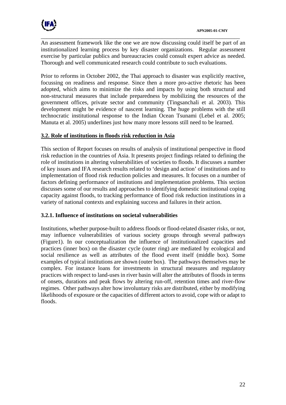

\_\_\_\_\_\_\_\_\_\_\_\_\_\_\_\_\_\_\_\_\_\_\_\_\_\_\_\_\_\_\_\_\_\_\_\_\_\_\_\_\_\_\_\_\_\_\_\_\_\_\_\_\_\_\_\_\_\_\_\_\_\_\_\_\_\_\_\_\_ An assessment framework like the one we are now discussing could itself be part of an institutionalized learning process by key disaster organizations. Regular assessment exercise by particular publics and bureaucracies could consult expert advice as needed. Thorough and well communicated research could contribute to such evaluations.

Prior to reforms in October 2002, the Thai approach to disaster was explicitly reactive, focussing on readiness and response. Since then a more pro-active rhetoric has been adopted, which aims to minimize the risks and impacts by using both structural and non-structural measures that include preparedness by mobilizing the resources of the government offices, private sector and community (Tingsanchali et al. 2003). This development might be evidence of nascent learning. The huge problems with the still technocratic institutional response to the Indian Ocean Tsunami (Lebel et al. 2005; Manuta et al. 2005) underlines just how many more lessons still need to be learned.

### **3.2. Role of institutions in floods risk reduction in Asia**

This section of Report focuses on results of analysis of institutional perspective in flood risk reduction in the countries of Asia. It presents project findings related to defining the role of institutions in altering vulnerabilities of societies to floods. It discusses a number of key issues and IFA research results related to 'design and action' of institutions and to implementation of flood risk reduction policies and measures. It focuses on a number of factors defining performance of institutions and implementation problems. This section discusses some of our results and approaches to identifying domestic institutional coping capacity against floods, to tracking performance of flood risk reduction institutions in a variety of national contexts and explaining success and failures in their action.

## **3.2.1. Influence of institutions on societal vulnerabilities**

Institutions, whether purpose-built to address floods or flood-related disaster risks, or not, may influence vulnerabilities of various society groups through several pathways (Figure1). In our conceptualization the influence of institutionalized capacities and practices (inner box) on the disaster cycle (outer ring) are mediated by ecological and social resilience as well as attributes of the flood event itself (middle box). Some examples of typical institutions are shown (outer box). The pathways themselves may be complex. For instance loans for investments in structural measures and regulatory practices with respect to land-uses in river basin will alter the attributes of floods in terms of onsets, durations and peak flows by altering run-off, retention times and river-flow regimes. Other pathways alter how involuntary risks are distributed, either by modifying likelihoods of exposure or the capacities of different actors to avoid, cope with or adapt to floods.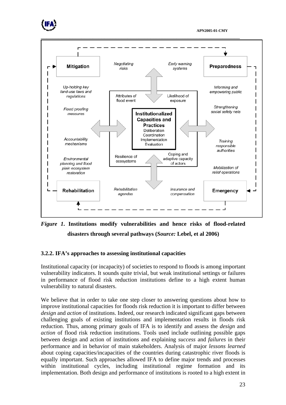



# *Figure 1***. Institutions modify vulnerabilities and hence risks of flood-related disasters through several pathways (***Source:* **Lebel, et al 2006)**

## **3.2.2. IFA's approaches to assessing institutional capacities**

Institutional capacity (or incapacity) of societies to respond to floods is among important vulnerability indicators. It sounds quite trivial, but weak institutional settings or failures in performance of flood risk reduction institutions define to a high extent human vulnerability to natural disasters.

We believe that in order to take one step closer to answering questions about how to improve institutional capacities for floods risk reduction it is important to differ between *design* and *action* of institutions. Indeed, our research indicated significant gaps between challenging goals of existing institutions and implementation results in floods risk reduction. Thus, among primary goals of IFA is to identify and assess the *design* and *action* of flood risk reduction institutions. Tools used include outlining possible gaps between design and action of institutions and explaining *success* and *failures* in their performance and in behavior of main stakeholders. Analysis of major *lessons learned* about coping capacities/incapacities of the countries during catastrophic river floods is equally important. Such approaches allowed IFA to define major trends and processes within institutional cycles, including institutional regime formation and its implementation. Both design and performance of institutions is rooted to a high extent in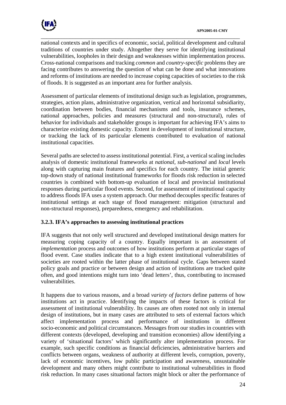

national contexts and in specifics of economic, social, political development and cultural traditions of countries under study. Altogether they serve for identifying institutional vulnerabilities, loopholes in their design and weaknesses within implementation process. Cross-national comparisons and tracking *common* and *country-specific* problems they are facing contributes to answering the question of what can be done and what innovations and reforms of institutions are needed to increase coping capacities of societies to the risk of floods. It is suggested as an important area for further analysis.

\_\_\_\_\_\_\_\_\_\_\_\_\_\_\_\_\_\_\_\_\_\_\_\_\_\_\_\_\_\_\_\_\_\_\_\_\_\_\_\_\_\_\_\_\_\_\_\_\_\_\_\_\_\_\_\_\_\_\_\_\_\_\_\_\_\_\_\_\_

Assessment of particular elements of institutional design such as legislation, programmes, strategies, action plans, administrative organization, vertical and horizontal subsidiarity, coordination between bodies, financial mechanisms and tools, insurance schemes, national approaches, policies and measures (structural and non-structural), rules of behavior for individuals and stakeholder groups is important for achieving IFA's aims to characterize existing domestic capacity. Extent in development of institutional structure, or tracking the lack of its particular elements contributed to evaluation of national institutional capacities.

Several paths are selected to assess institutional potential. First, a vertical scaling includes analysis of domestic institutional frameworks at *national*, *sub-national* and *local* levels along with capturing main features and specifics for each country. The initial generic top-down study of national institutional frameworks for floods risk reduction in selected countries is combined with bottom-up evaluation of local and provincial institutional responses during particular flood events. Second, for assessment of institutional capacity to address floods IFA uses a system approach. Our method decouples specific features of institutional settings at each stage of flood management: mitigation (structural and non-structural responses), preparedness, emergency and rehabilitation.

## **3.2.3. IFA's approaches to assessing institutional practices**

IFA suggests that not only well structured and developed institutional design matters for measuring coping capacity of a country. Equally important is an assessment of *implementation* process and outcomes of how institutions perform at particular stages of flood event. Case studies indicate that to a high extent institutional vulnerabilities of societies are rooted within the latter phase of institutional cycle. Gaps between stated policy goals and practice or between design and action of institutions are tracked quite often, and good intentions might turn into 'dead letters', thus, contributing to increased vulnerabilities.

It happens due to various reasons, and a broad *variety of factors* define patterns of how institutions act in practice. Identifying the impacts of these factors is critical for assessment of institutional vulnerability. Its causes are often rooted not only in internal design of institutions, but in many cases are attributed to sets of external factors which affect implementation process and performance of institutions in different socio-economic and political circumstances. Messages from our studies in countries with different contexts (developed, developing and transition economies) allow identifying a variety of 'situational factors' which significantly alter implementation process. For example, such specific conditions as financial deficiencies, administrative barriers and conflicts between organs, weakness of authority at different levels, corruption, poverty, lack of economic incentives, low public participation and awareness, unsustainable development and many others might contribute to institutional vulnerabilities in flood risk reduction. In many cases situational factors might block or alter the performance of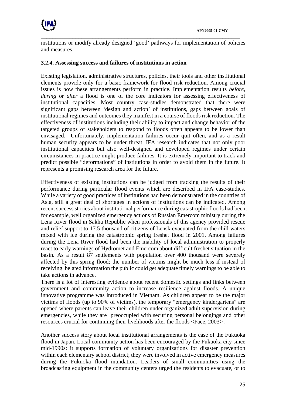

institutions or modify already designed 'good' pathways for implementation of policies and measures.

\_\_\_\_\_\_\_\_\_\_\_\_\_\_\_\_\_\_\_\_\_\_\_\_\_\_\_\_\_\_\_\_\_\_\_\_\_\_\_\_\_\_\_\_\_\_\_\_\_\_\_\_\_\_\_\_\_\_\_\_\_\_\_\_\_\_\_\_\_

#### **3.2.4. Assessing success and failures of institutions in action**

Existing legislation, administrative structures, policies, their tools and other institutional elements provide only for a basic framework for flood risk reduction. Among crucial issues is how these arrangements perform in practice. Implementation results *before, during* or *after* a flood is one of the core indicators for assessing effectiveness of institutional capacities. Most country case-studies demonstrated that there were significant gaps between 'design and action' of institutions, gaps between goals of institutional regimes and outcomes they manifest in a course of floods risk reduction. The effectiveness of institutions including their ability to impact and change behavior of the targeted groups of stakeholders to respond to floods often appears to be lower than envisaged. Unfortunately, implementation failures occur quit often, and as a result human security appears to be under threat. IFA research indicates that not only poor institutional capacities but also well-designed and developed regimes under certain circumstances in practice might produce failures. It is extremely important to track and predict possible "deformations" of institutions in order to avoid them in the future. It represents a promising research area for the future.

Effectiveness of existing institutions can be judged from tracking the results of their performance during particular flood events which are described in IFA case-studies. While a variety of good practices of institutions had been demonstrated in the countries of Asia, still a great deal of shortages in actions of institutions can be indicated. Among recent success stories about institutional performance during catastrophic floods had been, for example, well organized emergency actions of Russian Emercom ministry during the Lena River flood in Sakha Republic when professionals of this agency provided rescue and relief support to 17.5 thousand of citizens of Lensk evacuated from the chill waters mixed with ice during the catastrophic spring freshet flood in 2001. Among failures during the Lena River flood had been the inability of local administration to properly react to early warnings of Hydromet and Emercom about difficult freshet situation in the basin. As a result 87 settlements with population over 400 thousand were severely affected by this spring flood; the number of victims might be much less if instead of receiving belated information the public could get adequate timely warnings to be able to take actions in advance.

There is a lot of interesting evidence about recent domestic settings and links between government and community action to increase resilience against floods. A unique innovative programme was introduced in Vietnam. As children appear to be the major victims of floods (up to 90% of victims), the temporary "emergency kindergartens" are opened where parents can leave their children under organized adult supervision during emergencies, while they are preoccupied with securing personal belongings and other resources crucial for continuing their livelihoods after the floods <Face, 2003> .

Another success story about local institutional arrangements is the case of the Fukuoka flood in Japan. Local community action has been encouraged by the Fukuoka city since mid-1990s: it supports formation of voluntary organizations for disaster prevention within each elementary school district; they were involved in active emergency measures during the Fukuoka flood inundation. Leaders of small communities using the broadcasting equipment in the community centers urged the residents to evacuate, or to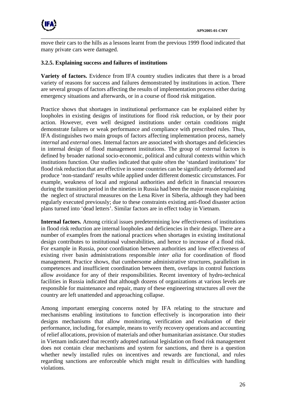

move their cars to the hills as a lessons learnt from the previous 1999 flood indicated that many private cars were damaged.

\_\_\_\_\_\_\_\_\_\_\_\_\_\_\_\_\_\_\_\_\_\_\_\_\_\_\_\_\_\_\_\_\_\_\_\_\_\_\_\_\_\_\_\_\_\_\_\_\_\_\_\_\_\_\_\_\_\_\_\_\_\_\_\_\_\_\_\_\_

### **3.2.5. Explaining success and failures of institutions**

**Variety of factors.** Evidence from IFA country studies indicates that there is a broad variety of reasons for success and failures demonstrated by institutions in action. There are several groups of factors affecting the results of implementation process either during emergency situations and afterwards, or in a course of flood risk mitigation.

Practice shows that shortages in institutional performance can be explained either by loopholes in existing designs of institutions for flood risk reduction, or by their poor action. However, even well designed institutions under certain conditions might demonstrate failures or weak performance and compliance with prescribed rules. Thus, IFA distinguishes two main groups of factors affecting implementation process, namely *internal* and *external* ones. Internal factors are associated with shortages and deficiencies in internal design of flood management institutions. The group of external factors is defined by broader national socio-economic, political and cultural contexts within which institutions function. Our studies indicated that quite often the 'standard institutions' for flood risk reduction that are effective in some countries can be significantly deformed and produce 'non-standard' results while applied under different domestic circumstances. For example, weakness of local and regional authorities and deficit in financial resources during the transition period in the nineties in Russia had been the major reason explaining the neglect of structural measures on the Lena River in Siberia, although they had been regularly executed previously; due to these constraints existing anti-flood disaster action plans turned into 'dead letters'. Similar factors are in effect today in Vietnam.

**Internal factors.** Among critical issues predetermining low effectiveness of institutions in flood risk reduction are internal loopholes and deficiencies in their design. There are a number of examples from the national practices when shortages in existing institutional design contributes to institutional vulnerabilities, and hence to increase of a flood risk. For example in Russia, poor coordination between authorities and low effectiveness of existing river basin administrations responsible *inter alia* for coordination of flood management. Practice shows, that cumbersome administrative structures, parallelism in competences and insufficient coordination between them, overlaps in control functions allow avoidance for any of their responsibilities. Recent inventory of hydro-technical facilities in Russia indicated that although dozens of organizations at various levels are responsible for maintenance and repair, many of these engineering structures all over the country are left unattended and approaching collapse.

Among important emerging concerns noted by IFA relating to the structure and mechanisms enabling institutions to function effectively is incorporation into their designs mechanisms that allow monitoring, verification and evaluation of their performance, including, for example, means to verify recovery operations and accounting of relief allocations, provision of materials and other humanitarian assistance. Our studies in Vietnam indicated that recently adopted national legislation on flood risk management does not contain clear mechanisms and system for sanctions, and there is a question whether newly installed rules on incentives and rewards are functional, and rules regarding sanctions are enforceable which might result in difficulties with handling violations.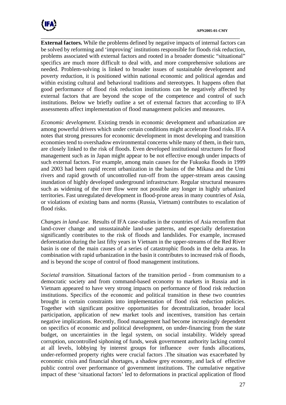

\_\_\_\_\_\_\_\_\_\_\_\_\_\_\_\_\_\_\_\_\_\_\_\_\_\_\_\_\_\_\_\_\_\_\_\_\_\_\_\_\_\_\_\_\_\_\_\_\_\_\_\_\_\_\_\_\_\_\_\_\_\_\_\_\_\_\_\_\_ **External factors.** While the problems defined by negative impacts of internal factors can be solved by reforming and 'improving' institutions responsible for floods risk reduction, problems associated with external factors and rooted in a broader domestic "situational" specifics are much more difficult to deal with, and more comprehensive solutions are needed. Problem-solving is linked to broader issues of sustainable development and poverty reduction, it is positioned within national economic and political agendas and within existing cultural and behavioral traditions and stereotypes. It happens often that good performance of flood risk reduction institutions can be negatively affected by external factors that are beyond the scope of the competence and control of such institutions. Below we briefly outline a set of external factors that according to IFA assessments affect implementation of flood management policies and measures.

*Economic development.* Existing trends in economic development and urbanization are among powerful drivers which under certain conditions might accelerate flood risks. IFA notes that strong pressures for economic development in most developing and transition economies tend to overshadow environmental concerns while many of them, in their turn, are closely linked to the risk of floods. Even developed institutional structures for flood management such as in Japan might appear to be not effective enough under impacts of such external factors. For example, among main causes for the Fukuoka floods in 1999 and 2003 had been rapid recent urbanization in the basins of the Mikasa and the Umi rivers and rapid growth of uncontrolled run-off from the upper-stream areas causing inundation of highly developed underground infrastructure. Regular structural measures such as widening of the river flow were not possible any longer in highly urbanized territories. Fast unregulated development in flood-prone areas in many countries of Asia, or violations of existing bans and norms (Russia, Vietnam) contributes to escalation of flood risks.

*Changes in land-use*. Results of IFA case-studies in the countries of Asia reconfirm that land-cover change and unsustainable land-use patterns, and especially deforestation significantly contributes to the risk of floods and landslides. For example, increased deforestation during the last fifty years in Vietnam in the upper-streams of the Red River basin is one of the main causes of a series of catastrophic floods in the delta areas. In combination with rapid urbanization in the basin it contributes to increased risk of floods, and is beyond the scope of control of flood management institutions.

*Societal transition.* Situational factors of the transition period - from communism to a democratic society and from command-based economy to markets in Russia and in Vietnam appeared to have very strong impacts on performance of flood risk reduction institutions. Specifics of the economic and political transition in these two countries brought in certain constraints into implementation of flood risk reduction policies. Together with significant positive opportunities for decentralization, broader local participation, application of new market tools and incentives, transition has certain negative implications. Recently, flood management had become increasingly dependent on specifics of economic and political development, on under-financing from the state budget, on uncertainties in the legal system, on social instability. Widely spread corruption, uncontrolled siphoning of funds, weak government authority lacking control at all levels, lobbying by interest groups for influence over funds allocations, under-reformed property rights were crucial factors .The situation was exacerbated by economic crisis and financial shortages, a shadow grey economy, and lack of effective public control over performance of government institutions. The cumulative negative impact of these 'situational factors' led to deformations in practical application of flood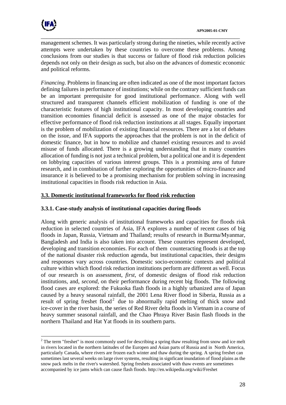

 $\overline{a}$ 

management schemes. It was particularly strong during the nineties, while recently active attempts were undertaken by these countries to overcome these problems. Among conclusions from our studies is that success or failure of flood risk reduction policies depends not only on their design as such, but also on the advances of domestic economic and political reforms.

\_\_\_\_\_\_\_\_\_\_\_\_\_\_\_\_\_\_\_\_\_\_\_\_\_\_\_\_\_\_\_\_\_\_\_\_\_\_\_\_\_\_\_\_\_\_\_\_\_\_\_\_\_\_\_\_\_\_\_\_\_\_\_\_\_\_\_\_\_

*Financing*. Problems in financing are often indicated as one of the most important factors defining failures in performance of institutions; while on the contrary sufficient funds can be an important prerequisite for good institutional performance. Along with well structured and transparent channels efficient mobilization of funding is one of the characteristic features of high institutional capacity. In most developing countries and transition economies financial deficit is assessed as one of the major obstacles for effective performance of flood risk reduction institutions at all stages. Equally important is the problem of mobilization of existing financial resources. There are a lot of debates on the issue, and IFA supports the approaches that the problem is not in the deficit of domestic finance, but in how to mobilize and channel existing resources and to avoid misuse of funds allocated. There is a growing understanding that in many countries allocation of funding is not just a technical problem, but a political one and it is dependent on lobbying capacities of various interest groups. This is a promising area of future research, and in combination of further exploring the opportunities of micro-finance and insurance it is believed to be a promising mechanism for problem solving in increasing institutional capacities in floods risk reduction in Asia.

## **3.3. Domestic institutional frameworks for flood risk reduction**

## **3.3.1. Case-study analysis of institutional capacities during floods**

Along with generic analysis of institutional frameworks and capacities for floods risk reduction in selected countries of Asia, IFA explores a number of recent cases of big floods in Japan, Russia, Vietnam and Thailand; results of research in Burma/Myanmar, Bangladesh and India is also taken into account. These countries represent developed, developing and transition economies. For each of them counteracting floods is at the top of the national disaster risk reduction agenda, but institutional capacities, their designs and responses vary across countries. Domestic socio-economic contexts and political culture within which flood risk reduction institutions perform are different as well. Focus of our research is on assessment, *first*, of domestic designs of flood risk reduction institutions, and, *second*, on their performance during recent big floods. The following flood cases are explored: the Fukuoka flash floods in a highly urbanized area of Japan caused by a heavy seasonal rainfall, the 2001 Lena River flood in Siberia, Russia as a result of spring freshet flood<sup>[2](#page-27-0)</sup> due to abnormally rapid melting of thick snow and ice-cover in the river basin, the series of Red River delta floods in Vietnam in a course of heavy summer seasonal rainfall, and the Chao Phraya River Basin flash floods in the northern Thailand and Hat Yat floods in its southern parts.

<span id="page-27-0"></span> $2^2$  The term "freshet" is most commonly used for describing a spring thaw resulting from snow and ice melt in rivers located in the northern latitudes of the Europen and Asian parts of Russia and in North America, particularly Canada, where rivers are frozen each winter and thaw during the spring. A spring freshet can sometimes last several weeks on large river systems, resulting in signficant inundation of flood plains as the snow pack melts in the river's watershed. Spring freshets associated with thaw events are sometimes accompanied by ice jams which can cause flash floods. http://en.wikipedia.org/wiki/Freshet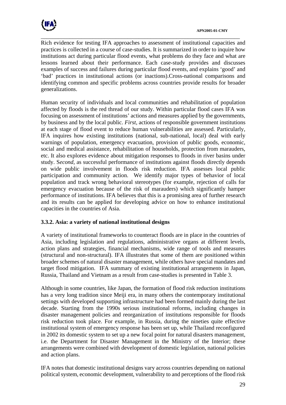

\_\_\_\_\_\_\_\_\_\_\_\_\_\_\_\_\_\_\_\_\_\_\_\_\_\_\_\_\_\_\_\_\_\_\_\_\_\_\_\_\_\_\_\_\_\_\_\_\_\_\_\_\_\_\_\_\_\_\_\_\_\_\_\_\_\_\_\_\_ Rich evidence for testing IFA approaches to assessment of institutional capacities and practices is collected in a course of case-studies. It is summarized in order to inquire how institutions act during particular flood events, what problems do they face and what are lessons learned about their performance. Each case-study provides and discusses examples of success and failures during particular flood events, and explains 'good' and 'bad' practices in institutional actions (or inactions).Cross-national comparisons and identifying common and specific problems across countries provide results for broader generalizations.

Human security of individuals and local communities and rehabilitation of population affected by floods is the red thread of our study. Within particular flood cases IFA was focusing on assessment of institutions' actions and measures applied by the governments, by business and by the local public. *First,* actions of responsible government institutions at each stage of flood event to reduce human vulnerabilities are assessed. Particularly, IFA inquires how existing institutions (national, sub-national, local) deal with early warnings of population, emergency evacuation, provision of public goods, economic, social and medical assistance, rehabilitation of households, protection from marauders, etc. It also explores evidence about mitigation responses to floods in river basins under study. S*econd*, as successful performance of institutions against floods directly depends on wide public involvement in floods risk reduction. IFA assesses local public participation and community action. We identify major types of behavior of local population and track wrong behavioral stereotypes (for example, rejection of calls for emergency evacuation because of the risk of marauders) which significantly hamper performance of institutions. IFA believes that this is a promising area of further research and its results can be applied for developing advice on how to enhance institutional capacities in the countries of Asia.

## **3.3.2. Asia: a variety of national institutional designs**

A variety of institutional frameworks to counteract floods are in place in the countries of Asia, including legislation and regulations, administrative organs at different levels, action plans and strategies, financial mechanisms, wide range of tools and measures (structural and non-structural). IFA illustrates that some of them are positioned within broader schemes of natural disaster management, while others have special mandates and target flood mitigation. IFA summary of existing institutional arrangements in Japan, Russia, Thailand and Vietnam as a result from case-studies is presented in Table 3.

Although in some countries, like Japan, the formation of flood risk reduction institutions has a very long tradition since Meiji era, in many others the contemporary institutional settings with developed supporting infrastructure had been formed mainly during the last decade. Starting from the 1990s serious institutional reforms, including changes in disaster management policies and reorganization of institutions responsible for floods risk reduction took place. For example, in Russia, during the nineties quite effective institutional system of emergency response has been set up, while Thailand reconfigured in 2002 its domestic system to set up a new focal point for natural disasters management, i.e. the Department for Disaster Management in the Ministry of the Interior; these arrangements were combined with development of domestic legislation, national policies and action plans.

IFA notes that domestic institutional designs vary across countries depending on national political system, economic development, vulnerability to and perceptions of the flood risk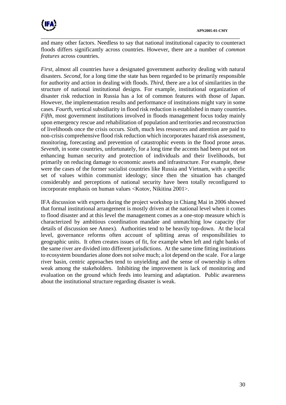

and many other factors. Needless to say that national institutional capacity to counteract floods differs significantly across countries. However, there are a number of *common features* across countries.

\_\_\_\_\_\_\_\_\_\_\_\_\_\_\_\_\_\_\_\_\_\_\_\_\_\_\_\_\_\_\_\_\_\_\_\_\_\_\_\_\_\_\_\_\_\_\_\_\_\_\_\_\_\_\_\_\_\_\_\_\_\_\_\_\_\_\_\_\_

*First*, almost all countries have a designated government authority dealing with natural disasters. *Second*, for a long time the state has been regarded to be primarily responsible for authority and action in dealing with floods. *Third,* there are a lot of similarities in the structure of national institutional designs. For example, institutional organization of disaster risk reduction in Russia has a lot of common features with those of Japan. However, the implementation results and performance of institutions might vary in some cases. *Fourth*, vertical subsidiarity in flood risk reduction is established in many countries. *Fifth,* most government institutions involved in floods management focus today mainly upon emergency rescue and rehabilitation of population and territories and reconstruction of livelihoods once the crisis occurs. *Sixth*, much less resources and attention are paid to non-crisis comprehensive flood risk reduction which incorporates hazard risk assessment, monitoring, forecasting and prevention of catastrophic events in the flood prone areas. *Seventh*, in some countries, unfortunately, for a long time the accents had been put not on enhancing human security and protection of individuals and their livelihoods, but primarily on reducing damage to economic assets and infrastructure. For example, these were the cases of the former socialist countries like Russia and Vietnam, with a specific set of values within communist ideology; since then the situation has changed considerably and perceptions of national security have been totally reconfigured to incorporate emphasis on human values <Kotov, Nikitina 2001>.

IFA discussion with experts during the project workshop in Chiang Mai in 2006 showed that formal institutional arrangement is mostly driven at the national level when it comes to flood disaster and at this level the management comes as a one-stop measure which is characterized by ambitious coordination mandate and unmatching low capacity (for details of discussion see Annex). Authorities tend to be heavily top-down. At the local level, governance reforms often account of splitting areas of responsibilities to geographic units. It often creates issues of fit, for example when left and right banks of the same river are divided into different jurisdictions. At the same time fitting institutions to ecosystem boundaries alone does not solve much; a lot depend on the scale. For a large river basin, centric approaches tend to unyielding and the sense of ownership is often weak among the stakeholders. Inhibiting the improvement is lack of monitoring and evaluation on the ground which feeds into learning and adaptation. Public awareness about the institutional structure regarding disaster is weak.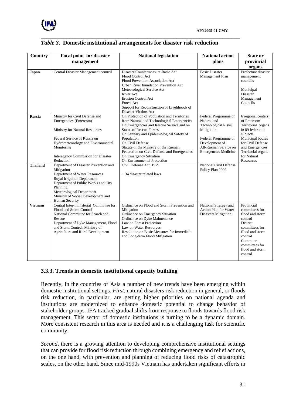

| <b>Country</b>  | Focal point for disaster                                  | <b>National legislation</b>                                                 | <b>National action</b>                     | <b>State or</b>              |
|-----------------|-----------------------------------------------------------|-----------------------------------------------------------------------------|--------------------------------------------|------------------------------|
|                 | management                                                |                                                                             | plans                                      | provincial                   |
|                 |                                                           |                                                                             |                                            | organs                       |
| Japan           | Central Disaster Management council                       | Disaster Countermeasure Basic Act                                           | <b>Basic Disaster</b>                      | Prefecture disaster          |
|                 |                                                           | Flood Control Act                                                           | Management Plan                            | management                   |
|                 |                                                           | Flood Prevention Association Act                                            |                                            | councils                     |
|                 |                                                           | Urban River Inundation Prevention Act                                       |                                            |                              |
|                 |                                                           | Meteorological Service Act<br>River Act                                     |                                            | Municipal                    |
|                 |                                                           | <b>Erosion Control Act</b>                                                  |                                            | Disaster<br>Management       |
|                 |                                                           | Forest Act                                                                  |                                            | Councils                     |
|                 |                                                           | Support for Reconstruction of Livelihoods of                                |                                            |                              |
|                 |                                                           | Disaster Victims Act                                                        |                                            |                              |
| <b>Russia</b>   | Ministry for Civil Defense and                            | On Protection of Population and Territories                                 | Federal Programme on                       | 6 regional centers           |
|                 | Emergencies (Emercom)                                     | from Natural and Technological Emergencies                                  | Natural and                                | of Emercom                   |
|                 |                                                           | On Emergencies and Rescue Service and on                                    | <b>Technological Risks</b>                 | Territorial organs           |
|                 | Ministry for Natural Resources                            | <b>Status of Rescue Forces</b><br>On Sanitary and Epidemiological Safety of | Mitigation                                 | in 89 federation<br>subjects |
|                 | Federal Service of Russia on                              | Population                                                                  | Federal Programme on                       | Municipal bodies             |
|                 | Hydrometeorology and Environmental                        | On Civil Defense                                                            | Development of                             | for Civil Defense            |
|                 | Monitoring                                                | Statute of the Ministry of the Russian                                      | All-Russian Service on                     | and Emergencies              |
|                 |                                                           | Federation on Civil Defense and Emergencies                                 | <b>Emergencies Medicine</b>                | Territorial organs           |
|                 | Interagency Commission for Disaster                       | On Emergency Situation                                                      |                                            | for Natural                  |
|                 | Reduction                                                 | On Environmental Protection                                                 |                                            | Resources                    |
| <b>Thailand</b> | Department of Disaster Prevention and<br>Mitigation       | Civil Defense Act, 1979                                                     | National Civil Defense<br>Policy Plan 2002 |                              |
|                 | Department of Water Resources                             | + 34 disaster related laws                                                  |                                            |                              |
|                 | Royal Irrigation Department                               |                                                                             |                                            |                              |
|                 | Department of Public Works and City                       |                                                                             |                                            |                              |
|                 | Planning                                                  |                                                                             |                                            |                              |
|                 | Meteorological Department                                 |                                                                             |                                            |                              |
|                 | Ministry of Social Development and                        |                                                                             |                                            |                              |
| <b>Vietnam</b>  | Human Security<br>Central Inter-ministerial Committee for | Ordinance on Flood and Storm Prevention and                                 | National Strategy and                      | Provincial                   |
|                 | Flood and Storm Control                                   | Mitigation                                                                  | Action Plan for Water                      | committees for               |
|                 | National Committee for Search and                         | Ordinance on Emergency Situation                                            | <b>Disasters Mitigation</b>                | flood and storm              |
|                 | Rescue                                                    | Ordinance on Dyke Maintenance                                               |                                            | control                      |
|                 | Department of Dyke Management, Flood                      | Law on Forest Protection                                                    |                                            | District                     |
|                 | and Storm Control, Ministry of                            | Law on Water Resources                                                      |                                            | committees for               |
|                 | <b>Agriculture and Rural Development</b>                  | Resolution on Basic Measures for Immediate                                  |                                            | flood and storm              |
|                 |                                                           | and Long-term Flood Mitigation                                              |                                            | control<br>Commune           |
|                 |                                                           |                                                                             |                                            | committees for               |
|                 |                                                           |                                                                             |                                            | flood and storm              |
|                 |                                                           |                                                                             |                                            | control                      |
|                 |                                                           |                                                                             |                                            |                              |

#### *Table 3***. Domestic institutional arrangements for disaster risk reduction**

\_\_\_\_\_\_\_\_\_\_\_\_\_\_\_\_\_\_\_\_\_\_\_\_\_\_\_\_\_\_\_\_\_\_\_\_\_\_\_\_\_\_\_\_\_\_\_\_\_\_\_\_\_\_\_\_\_\_\_\_\_\_\_\_\_\_\_\_\_

## **3.3.3. Trends in domestic institutional capacity building**

Recently, in the countries of Asia a number of new trends have been emerging within domestic institutional settings. *First*, natural disasters risk reduction in general, or floods risk reduction, in particular, are getting higher priorities on national agenda and institutions are modernized to enhance domestic potential to change behavior of stakeholder groups. IFA tracked gradual shifts from response to floods towards flood risk management. This sector of domestic institutions is turning to be a dynamic domain. More consistent research in this area is needed and it is a challenging task for scientific community.

*Second*, there is a growing attention to developing comprehensive institutional settings that can provide for flood risk reduction through combining emergency and relief actions, on the one hand, with prevention and planning of reducing flood risks of catastrophic scales, on the other hand. Since mid-1990s Vietnam has undertaken significant efforts in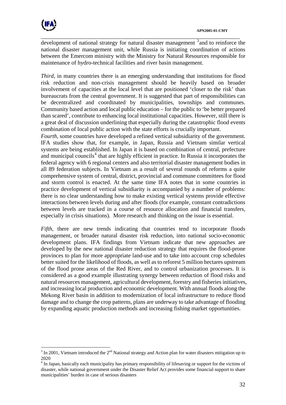

 $\overline{a}$ 

\_\_\_\_\_\_\_\_\_\_\_\_\_\_\_\_\_\_\_\_\_\_\_\_\_\_\_\_\_\_\_\_\_\_\_\_\_\_\_\_\_\_\_\_\_\_\_\_\_\_\_\_\_\_\_\_\_\_\_\_\_\_\_\_\_\_\_\_\_ development of national strategy for natural disaster management <sup>[3](#page-31-0)</sup> and to reinforce the national disaster management unit, while Russia is initiating coordination of actions between the Emercom ministry with the Ministry for Natural Resources responsible for maintenance of hydro-technical facilities and river basin management.

*Third,* in many countries there is an emerging understanding that institutions for flood risk reduction and non-crisis management should be heavily based on broader involvement of capacities at the local level that are positioned 'closer to the risk' than bureaucrats from the central government. It is suggested that part of responsibilities can be decentralized and coordinated by municipalities, townships and communes. Community based action and local public education – for the public to 'be better prepared than scared', contribute to enhancing local institutional capacities. However, still there is a great deal of discussion underlining that especially during the catastrophic flood events combination of local public action with the state efforts is crucially important.

*Fourth,* some countries have developed a refined vertical subsidiarity of the government. IFA studies show that, for example, in Japan, Russia and Vietnam similar vertical systems are being established. In Japan it is based on combination of central, prefecture and municipal councils<sup>[4](#page-31-1)</sup> that are highly efficient in practice. In Russia it incorporates the federal agency with 6 regional centers and also territorial disaster management bodies in all 89 federation subjects. In Vietnam as a result of several rounds of reforms a quite comprehensive system of central, district, provincial and commune committees for flood and storm control is enacted. At the same time IFA notes that in some countries in practice development of vertical subsidiarity is accompanied by a number of problems: there is no clear understanding how to make existing vertical systems provide effective interactions between levels during and after floods (for example, constant contradictions between levels are tracked in a course of resource allocation and financial transfers, especially in crisis situations). More research and thinking on the issue is essential.

*Fifth*, there are new trends indicating that countries tend to incorporate floods management, or broader natural disaster risk reduction, into national socio-economic development plans. IFA findings from Vietnam indicate that new approaches are developed by the new national disaster reduction strategy that requires the flood-prone provinces to plan for more appropriate land-use and to take into account crop schedules better suited for the likelihood of floods, as well as to reforest 5 million hectares upstream of the flood prone areas of the Red River, and to control urbanization processes. It is considered as a good example illustrating synergy between reduction of flood risks and natural resources management, agricultural development, forestry and fisheries initiatives, and increasing local production and economic development. With annual floods along the Mekong River basin in addition to modernization of local infrastructure to reduce flood damage and to change the crop patterns, plans are underway to take advantage of flooding by expanding aquatic production methods and increasing fishing market opportunities.

<span id="page-31-0"></span> $3 \text{ In } 2001$ , Vietnam introduced the  $2^{\text{nd}}$  National strategy and Action plan for water disasters mitigation up to 2020

<span id="page-31-1"></span><sup>&</sup>lt;sup>4</sup> In Japan, basically each municipality has primary responsibility of lifesaving or support for the victims of disaster, while national government under the Disaster Relief Act provides some financial support to share municipalities' burden in case of serious disasters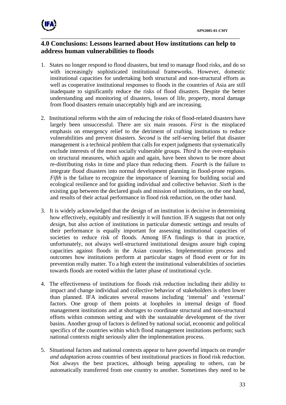

## **4.0 Conclusions: Lessons learned about How institutions can help to address human vulnerabilities to floods**

- 1. States no longer respond to flood disasters, but tend to manage flood risks, and do so with increasingly sophisticated institutional frameworks. However, domestic institutional capacities for undertaking both structural and non-structural efforts as well as cooperative institutional responses to floods in the countries of Asia are still inadequate to significantly reduce the risks of flood disasters. Despite the better understanding and monitoring of disasters, losses of life, property, moral damage from flood disasters remain unacceptably high and are increasing.
- 2. Institutional reforms with the aim of reducing the risks of flood-related disasters have largely been unsuccessful. There are six main reasons. *First* is the misplaced emphasis on emergency relief to the detriment of crafting institutions to reduce vulnerabilities and prevent disasters. *Second* is the self-serving belief that disaster management is a technical problem that calls for expert judgments that systematically exclude interests of the most socially vulnerable groups. *Third* is the over-emphasis on structural measures, which again and again, have been shown to be more about re-distributing risks in time and place than reducing them. *Fourth* is the failure to integrate flood disasters into normal development planning in flood-prone regions. *Fifth* is the failure to recognize the importance of learning for building social and ecological resilience and for guiding individual and collective behavior. *Sixth* is the existing gap between the declared goals and mission of institutions, on the one hand, and results of their actual performance in flood risk reduction, on the other hand.
- 3. It is widely acknowledged that the design of an institution is decisive in determining how effectively, equitably and resiliently it will function. IFA suggests that not only *design*, but also *action* of institutions in particular domestic settings and results of their performance is equally important for assessing institutional capacities of societies to reduce risk of floods. Among IFA findings is that in practice, unfortunately, not always well-structured institutional designs assure high coping capacities against floods in the Asian countries. Implementation process and outcomes how institutions perform at particular stages of flood event or for its prevention really matter. To a high extent the institutional vulnerabilities of societies towards floods are rooted within the latter phase of institutional cycle.
- 4. The effectiveness of institutions for floods risk reduction including their ability to impact and change individual and collective behavior of stakeholders is often lower than planned. IFA indicates several reasons including 'internal' and 'external' factors. One group of them points at loopholes in internal design of flood management institutions and at shortages to coordinate structural and non-structural efforts within common setting and with the sustainable development of the river basins. Another group of factors is defined by national social, economic and political specifics of the countries within which flood management institutions perform; such national contexts might seriously alter the implementation process.
- 5. Situational factors and national contexts appear to have powerful impacts on *transfer and adaptation* across countries of best institutional practices in flood risk reduction. Not always the best practices, although being appealing to others, can be automatically transferred from one country to another. Sometimes they need to be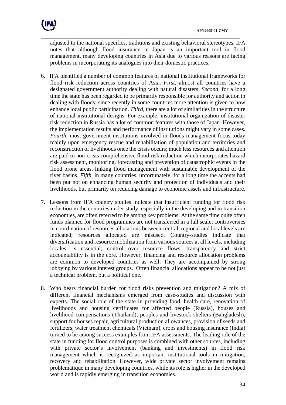

adjusted to the national specifics, traditions and existing behavioral stereotypes. IFA notes that although flood insurance in Japan is an important tool in flood management, many developing countries in Asia due to various reasons are facing problems in incorporating its analogues into their domestic practices.

- 6. IFA identified a number of common features of national institutional frameworks for flood risk reduction across countries of Asia. *First,* almost all countries have a designated government authority dealing with natural disasters. *Second*, for a long time the state has been regarded to be primarily responsible for authority and action in dealing with floods; since recently in some countries more attention is given to how enhance local public participation. *Third,* there are a lot of similarities in the structure of national institutional designs. For example, institutional organization of disaster risk reduction in Russia has a lot of common features with those of Japan. However, the implementation results and performance of institutions might vary in some cases. *Fourth*, most government institutions involved in floods management focus today mainly upon emergency rescue and rehabilitation of population and territories and reconstruction of livelihoods once the crisis occurs; much less resources and attention are paid to non-crisis comprehensive flood risk reduction which incorporates hazard risk assessment, monitoring, forecasting and prevention of catastrophic events in the flood prone areas, linking flood management with sustainable development of the river basins. *Fifth*, in many countries, unfortunately, for a long time the accents had been put not on enhancing human security and protection of individuals and their livelihoods, but primarily on reducing damage to economic assets and infrastructure.
- 7. Lessons from IFA country studies indicate that insufficient funding for flood risk reduction in the countries under study, especially in the developing and in transition economies, are often referred to be among key problems. At the same time quite often funds planned for flood programmes are not transferred in a full scale; controversies in coordination of resources allocations between central, regional and local levels are indicated; resources allocated are misused. Country-studies indicate that diversification and resource mobilization from various sources at all levels, including locales, is essential; control over resource flows, transparency and strict accountability is in the core. However, financing and resource allocation problems are common to developed countries as well. They are accompanied by strong lobbying by various interest groups. Often financial allocations appear to be not just a technical problem, but a political one.
- 8. Who bears financial burden for flood risks prevention and mitigation? A mix of different financial mechanisms emerged from case-studies and discussion with experts. The social role of the state in providing food, health care, renovation of livelihoods and housing certificates for affected people (Russia), houses and livelihood compensations (Thailand), peoples and livestock shelters (Bangladesh), support for houses repair, agricultural production allowances, provision of seeds and fertilizers, water treatment chemicals (Vietnam), crops and housing insurance (India) turned to be among success examples from IFA assessments. The leading role of the state in funding for flood control purposes is combined with other sources, including with private sector's involvement (banking and investments) in flood risk management which is recognized as important institutional tools in mitigation, recovery and rehabilitation. However, wide private sector involvement remains problematique in many developing countries, while its role is higher in the developed world and is rapidly emerging in transition economies.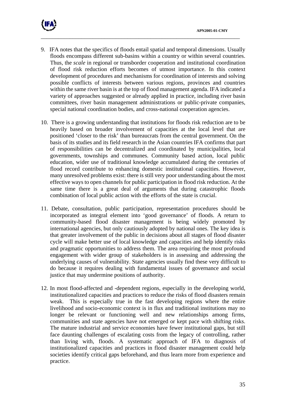



- 9. IFA notes that the specifics of floods entail spatial and temporal dimensions. Usually floods encompass different sub-basins within a country or within several countries. Thus, the *scale* in regional or transborder cooperation and institutional coordination of flood risk reduction efforts becomes of utmost importance. In this context development of procedures and mechanisms for coordination of interests and solving possible conflicts of interests between various regions, provinces and countries within the same river basin is at the top of flood management agenda. IFA indicated a variety of approaches suggested or already applied in practice, including river basin committees, river basin management administrations or public-private companies, special national coordination bodies, and cross-national cooperation agencies.
- 10. There is a growing understanding that institutions for floods risk reduction are to be heavily based on broader involvement of capacities at the local level that are positioned 'closer to the risk' than bureaucrats from the central government. On the basis of its studies and its field research in the Asian countries IFA confirms that part of responsibilities can be decentralized and coordinated by municipalities, local governments, townships and communes. Community based action, local public education, wider use of traditional knowledge accumulated during the centuries of flood record contribute to enhancing domestic institutional capacities. However, many unresolved problems exist: there is still very poor understanding about the most effective ways to open channels for public participation in flood risk reduction. At the same time there is a great deal of arguments that during catastrophic floods combination of local public action with the efforts of the state is crucial.
- 11. Debate, consultation, public participation, representation procedures should be incorporated as integral element into 'good governance' of floods. A return to community-based flood disaster management is being widely promoted by international agencies, but only cautiously adopted by national ones. The key idea is that greater involvement of the public in decisions about all stages of flood disaster cycle will make better use of local knowledge and capacities and help identify risks and pragmatic opportunities to address them. The area requiring the most profound engagement with wider group of stakeholders is in assessing and addressing the underlying causes of vulnerability. State agencies usually find these very difficult to do because it requires dealing with fundamental issues of governance and social justice that may undermine positions of authority.
- 12. In most flood-affected and -dependent regions, especially in the developing world, institutionalized capacities and practices to reduce the risks of flood disasters remain weak. This is especially true in the fast developing regions where the entire livelihood and socio-economic context is in flux and traditional institutions may no longer be relevant or functioning well and new relationships among firms, communities and state agencies have not emerged or kept pace with shifting risks. The mature industrial and service economies have fewer institutional gaps, but still face daunting challenges of escalating costs from the legacy of controlling, rather than living with, floods. A systematic approach of IFA to diagnosis of institutionalized capacities and practices in flood disaster management could help societies identify critical gaps beforehand, and thus learn more from experience and practice.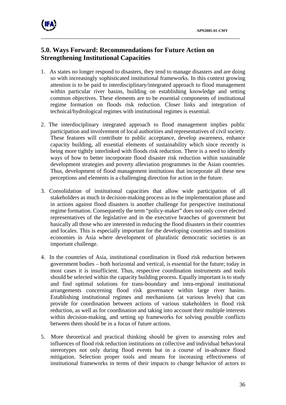

# **5.0. Ways Forward: Recommendations for Future Action on Strengthening Institutional Capacities**

1. As states no longer respond to disasters, they tend to manage disasters and are doing so with increasingly sophisticated institutional frameworks. In this context growing attention is to be paid to interdisciplinary/integrated approach to flood management within particular river basins, building on establishing knowledge and setting common objectives. These elements are to be essential components of institutional regime formation on floods risk reduction. Closer links and integration of technical/hydrological regimes with institutional regimes is essential.

- 2. The interdisciplinary integrated approach to flood management implies public participation and involvement of local authorities and representatives of civil society. These features will contribute to public acceptance, develop awareness, enhance capacity building, all essential elements of sustainability which since recently is being more tightly interlinked with floods risk reduction. There is a need to identify ways of how to better incorporate flood disaster risk reduction within sustainable development strategies and poverty alleviation programmes in the Asian countries. Thus, development of flood management institutions that incorporate all these new perceptions and elements is a challenging direction for action in the future.
- 3. Consolidation of institutional capacities that allow wide participation of all stakeholders as much in decision-making process as in the implementation phase and in actions against flood disasters is another challenge for perspective institutional regime formation. Consequently the term "policy-maker" does not only cover elected representatives of the legislative and in the executive branches of government but basically all those who are interested in reducing the flood disasters in their countries and locales. This is especially important for the developing countries and transition economies in Asia where development of pluralistic democratic societies is an important challenge.
- 4. In the countries of Asia, institutional coordination in flood risk reduction between government bodies – both horizontal and vertical, is essential for the future; today in most cases it is insufficient. Thus, respective coordination instruments and tools should be selected within the capacity building process. Equally important is to study and find optimal solutions for trans-boundary and intra-regional institutional arrangements concerning flood risk governance within large river basins. Establishing institutional regimes and mechanisms (at various levels) that can provide for coordination between actions of various stakeholders in flood risk reduction, as well as for coordination and taking into account their multiple interests within decision-making, and setting up frameworks for solving possible conflicts between them should be in a focus of future actions.
- 5. More theoretical and practical thinking should be given to assessing roles and influences of flood risk reduction institutions on collective and individual behavioral stereotypes not only during flood events but in a course of in-advance flood mitigation. Selection proper tools and means for increasing effectiveness of institutional frameworks in terms of their impacts to change behavior of actors to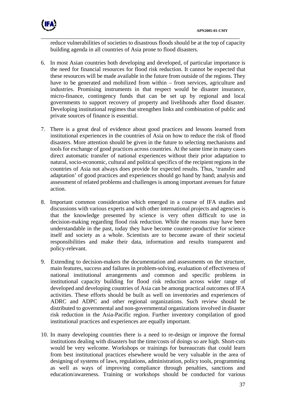

reduce vulnerabilities of societies to disastrous floods should be at the top of capacity building agenda in all countries of Asia prone to flood disasters.

- 6. In most Asian countries both developing and developed, of particular importance is the need for financial resources for flood risk reduction. It cannot be expected that these resources will be made available in the future from outside of the regions. They have to be generated and mobilized from within – from services, agriculture and industries. Promising instruments in that respect would be disaster insurance, micro-finance, contingency funds that can be set up by regional and local governments to support recovery of property and livelihoods after flood disaster. Developing institutional regimes that strengthen links and combination of public and private sources of finance is essential.
- 7. There is a great deal of evidence about good practices and lessons learned from institutional experiences in the countries of Asia on how to reduce the risk of flood disasters. More attention should be given in the future to selecting mechanisms and tools for exchange of good practices across countries. At the same time in many cases direct automatic transfer of national experiences without their prior adaptation to natural, socio-economic, cultural and political specifics of the recipient regions in the countries of Asia not always does provide for expected results. Thus, 'transfer and adaptation' of good practices and experiences should go hand by hand; analysis and assessment of related problems and challenges is among important avenues for future action.
- 8. Important common consideration which emerged in a course of IFA studies and discussions with various experts and with other international projects and agencies is that the knowledge presented by science is very often difficult to use in decision-making regarding flood risk reduction. While the reasons may have been understandable in the past, today they have become counter-productive for science itself and society as a whole. Scientists are to become aware of their societal responsibilities and make their data, information and results transparent and policy-relevant.
- 9. Extending to decision-makers the documentation and assessments on the structure, main features, success and failures in problem-solving, evaluation of effectiveness of national institutional arrangements and common and specific problems in institutional capacity building for flood risk reduction across wider range of developed and developing countries of Asia can be among practical outcomes of IFA activities. These efforts should be built as well on inventories and experiences of ADRC and ADPC and other regional organizations. Such review should be distributed to governmental and non-governmental organizations involved in disaster risk reduction in the Asia-Pacific region. Further inventory compilation of good institutional practices and experiences are equally important.
- 10. In many developing countries there is a need to re-design or improve the formal institutions dealing with disasters but the time/costs of doings so are high. Short-cuts would be very welcome. Workshops or trainings for bureaucrats that could learn from best institutional practices elsewhere would be very valuable in the area of designing of systems of laws, regulations, administration, policy tools, programming as well as ways of improving compliance through penalties, sanctions and education/awareness. Training or workshops should be conducted for various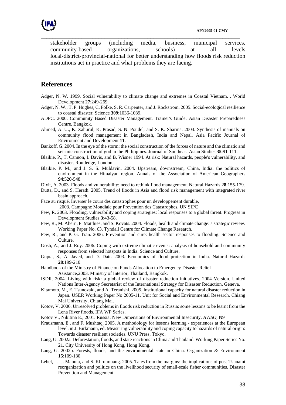

stakeholder groups (including media, business, municipal services, community-based organizations, schools) at all levels local-district-provincial-national for better understanding how floods risk reduction institutions act in practice and what problems they are facing.

\_\_\_\_\_\_\_\_\_\_\_\_\_\_\_\_\_\_\_\_\_\_\_\_\_\_\_\_\_\_\_\_\_\_\_\_\_\_\_\_\_\_\_\_\_\_\_\_\_\_\_\_\_\_\_\_\_\_\_\_\_\_\_\_\_\_\_\_\_

## **References**

- Adger, N. W. 1999. Social vulnerability to climate change and extremes in Coastal Vietnam. . World Development **27**:249-269.
- Adger, N. W., T. P. Hughes, C. Folke, S. R. Carpenter, and J. Rockstrom. 2005. Social-ecological resilience to coastal disaster. Science **309**:1036-1039.
- ADPC. 2000. Community Based Disaster Management. Trainer's Guide. Asian Disaster Preparedness Centre, Bangkok.
- Ahmed, A. U., K. Zahurul, K. Prasad, S. N. Poudel, and S. K. Sharma. 2004. Synthesis of manuals on community flood management in Bangladesh, India and Nepal. Asia Pacific Journal of Environment and Development **11**.
- Bankoff, G. 2004. In the eye of the storm: the social construction of the forces of nature and the climatic and seismic construction of god in the Philippines. Journal of Southeast Asian Studies **35**:91-111.
- Blaikie, P., T. Cannon, I. Davis, and B. Wisner 1994. At risk: Natural hazards, people's vulnerability, and disaster. Routledge, London.
- Blaikie, P. M., and J. S. S. Muldavin. 2004. Upstream, downstream, China, India: the politics of environment in the Himalyan region. Annals of the Association of American Geographers **94**:520-548.
- Dixit, A. 2003. Floods and vulnerability: need to rethink flood management. Natural Hazards **28**:155-179.
- Dutta, D., and S. Herath. 2005. Trend of floods in Asia and flood risk management with integrated river basin approach.
- Face au risqué. Inverser le cours des catastrophes pour un developpement durable, 2003. Campagne Mondiale pour Prevention des Catastrophes. UN SIPC
- Few, R. 2003. Flooding, vulnerability and coping strategies: local responses to a global threat. Progress in Development Studies **3**:43-58.
- Few, R., M. Ahern, F. Matthies, and S. Kovats. 2004. Floods, health and climate change: a strategic review. Working Paper No. 63. Tyndall Centre for Climate Change Research.
- Few, R., and P. G. Tran. 2006. Prevention and cure: health sector responses to flooding. Science and Culture.
- Gosh, A., and J. Roy. 2006. Coping with extreme climatic events: analysis of household and community responses from selected hotspots in India. Science and Culture.
- Gupta, S., A. Javed, and D. Datt. 2003. Economics of flood protection in India. Natural Hazards **28**:199-210.
- Handbook of the Ministry of Finance on Funds Allocation to Emergency Disaster Relief
- Asistance,2003. Ministry of Interior, Thailand, Bangkok.
- ISDR. 2004. Living with risk: a global review of disaster reduction initiatives. 2004 Version. United Nations Inter-Agency Secretariat of the International Strategy for Disaster Reduction, Geneva.
- Kitamoto, M., E. Tsunozaki, and A. Teranishi. 2005. Institutional capacity for natural disaster reduction in Japan. USER Working Paper No 2005-11. Unit for Social and Environmental Research, Chiang Mai University, Chiang Mai.
- Kotov, V. 2006. Unresolved problems in floods risk reduction in Russia: some lessons to be learnt from the Lena River floods. IFA WP Series.
- Kotov V., Nikitina E., 2001. Russia: New Dimensions of Environmental Insecurity. *AVISO*, N9
- Krausmann, E., and F. Mushtaq. 2005. A methodology for lessons learning experiences at the European level. in J. Birkmann, ed. Measuring vulnerability and coping capacity to hazards of natural origin: Towards disaster resilient societies. UNU Press, Tokyo.
- Lang, G. 2002a. Deforestation, floods, and state reactions in China and Thailand. Working Paper Series No. 21. City University of Hong Kong, Hong Kong.
- Lang, G. 2002b. Forests, floods, and the environmental state in China. Organization & Environment **15**:109-130.
- Lebel, L., J. Manuta, and S. Khrutmuang. 2005. Tales from the margins: the implications of post-Tsunami reorganization and politics on the livelihood security of small-scale fisher communities. Disaster Prevention and Management.